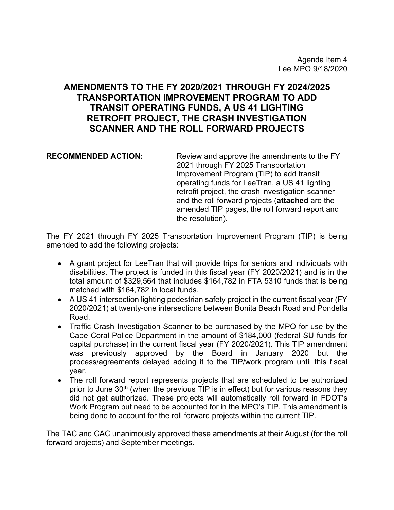# **AMENDMENTS TO THE FY 2020/2021 THROUGH FY 2024/2025 TRANSPORTATION IMPROVEMENT PROGRAM TO ADD TRANSIT OPERATING FUNDS, A US 41 LIGHTING RETROFIT PROJECT, THE CRASH INVESTIGATION SCANNER AND THE ROLL FORWARD PROJECTS**

**RECOMMENDED ACTION:** Review and approve the amendments to the FY 2021 through FY 2025 Transportation Improvement Program (TIP) to add transit operating funds for LeeTran, a US 41 lighting retrofit project, the crash investigation scanner and the roll forward projects (**attached** are the amended TIP pages, the roll forward report and the resolution).

The FY 2021 through FY 2025 Transportation Improvement Program (TIP) is being amended to add the following projects:

- A grant project for LeeTran that will provide trips for seniors and individuals with disabilities. The project is funded in this fiscal year (FY 2020/2021) and is in the total amount of \$329,564 that includes \$164,782 in FTA 5310 funds that is being matched with \$164,782 in local funds.
- A US 41 intersection lighting pedestrian safety project in the current fiscal year (FY 2020/2021) at twenty-one intersections between Bonita Beach Road and Pondella Road.
- Traffic Crash Investigation Scanner to be purchased by the MPO for use by the Cape Coral Police Department in the amount of \$184,000 (federal SU funds for capital purchase) in the current fiscal year (FY 2020/2021). This TIP amendment was previously approved by the Board in January 2020 but the process/agreements delayed adding it to the TIP/work program until this fiscal year.
- The roll forward report represents projects that are scheduled to be authorized prior to June  $30<sup>th</sup>$  (when the previous TIP is in effect) but for various reasons they did not get authorized. These projects will automatically roll forward in FDOT's Work Program but need to be accounted for in the MPO's TIP. This amendment is being done to account for the roll forward projects within the current TIP.

The TAC and CAC unanimously approved these amendments at their August (for the roll forward projects) and September meetings.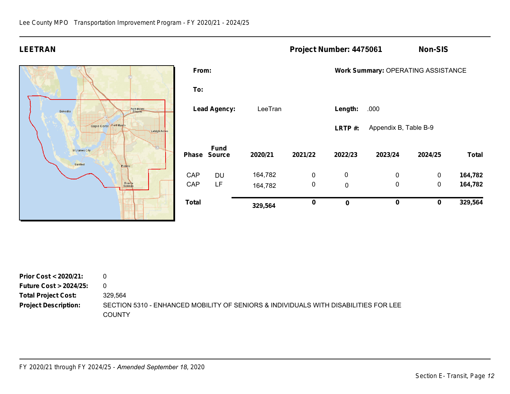# **LEETRAN Project Number: 4475061 Non-SIS**



| Total |                              | 329,564 | $\bf{0}$    | $\mathbf 0$                        | $\bf{0}$              | $\bf{0}$    | 329,564      |  |  |  |
|-------|------------------------------|---------|-------------|------------------------------------|-----------------------|-------------|--------------|--|--|--|
| CAP   | LF                           | 164,782 | $\mathbf 0$ | $\mathbf 0$                        | $\mathbf 0$           | 0           | 164,782      |  |  |  |
| CAP   | DU                           | 164,782 | $\mathbf 0$ | 0                                  | 0                     | $\mathbf 0$ | 164,782      |  |  |  |
| Phase | <b>Fund</b><br><b>Source</b> | 2020/21 | 2021/22     | 2022/23                            | 2023/24               | 2024/25     | <b>Total</b> |  |  |  |
|       |                              |         |             | LRTP#:                             | Appendix B, Table B-9 |             |              |  |  |  |
|       | <b>Lead Agency:</b>          | LeeTran |             | Length:                            | .000                  |             |              |  |  |  |
| To:   |                              |         |             |                                    |                       |             |              |  |  |  |
| From: |                              |         |             | Work Summary: OPERATING ASSISTANCE |                       |             |              |  |  |  |
|       |                              |         |             |                                    |                       |             |              |  |  |  |

| Prior Cost $<$ 2020/21:          |                                                                                               |
|----------------------------------|-----------------------------------------------------------------------------------------------|
| <b>Future Cost &gt; 2024/25:</b> | $\Omega$                                                                                      |
| <b>Total Project Cost:</b>       | 329.564                                                                                       |
| <b>Project Description:</b>      | SECTION 5310 - ENHANCED MOBILITY OF SENIORS & INDIVIDUALS WITH DISABILITIES FOR LEE<br>COUNTY |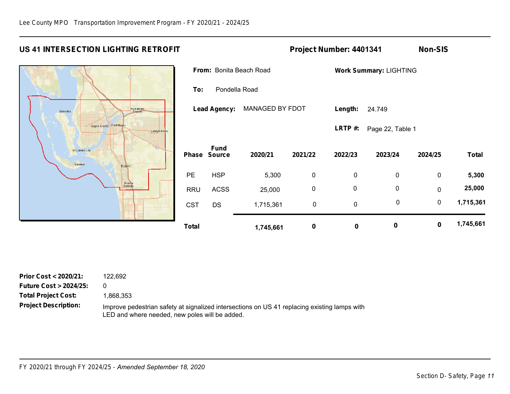# **US 41 INTERSECTION LIGHTING RETROFIT Project Number: 4401341 Non-SIS**



|              |                                        |           |          | <b>Work Summary: LIGHTING</b> |                  |             |              |  |  |
|--------------|----------------------------------------|-----------|----------|-------------------------------|------------------|-------------|--------------|--|--|
|              | From: Bonita Beach Road                |           |          |                               |                  |             |              |  |  |
| To:          | Pondella Road                          |           |          |                               |                  |             |              |  |  |
|              | MANAGED BY FDOT<br><b>Lead Agency:</b> |           | Length:  | 24.749                        |                  |             |              |  |  |
|              |                                        |           |          | LRTP#:                        | Page 22, Table 1 |             |              |  |  |
| <b>Phase</b> | <b>Fund</b><br><b>Source</b>           | 2020/21   | 2021/22  | 2022/23                       | 2023/24          | 2024/25     | <b>Total</b> |  |  |
| <b>PE</b>    | <b>HSP</b>                             | 5,300     | 0        | 0                             | $\mathbf 0$      | 0           | 5,300        |  |  |
| <b>RRU</b>   | <b>ACSS</b>                            | 25,000    | 0        | 0                             | 0                | $\mathbf 0$ | 25,000       |  |  |
| <b>CST</b>   | <b>DS</b>                              | 1,715,361 | 0        | 0                             | $\mathbf 0$      | $\mathbf 0$ | 1,715,361    |  |  |
| <b>Total</b> |                                        | 1,745,661 | $\bf{0}$ | 0                             | $\bf{0}$         | $\bf{0}$    | 1,745,661    |  |  |

| Prior Cost < 2020/21:            | 122.692  |
|----------------------------------|----------|
| <b>Future Cost &gt; 2024/25:</b> | 0        |
| <b>Total Project Cost:</b>       | 1,868,35 |
| <b>Project Description:</b>      | Improve  |

1,868,353

Improve pedestrian safety at signalized intersections on US 41 replacing existing lamps with LED and where needed, new poles will be added.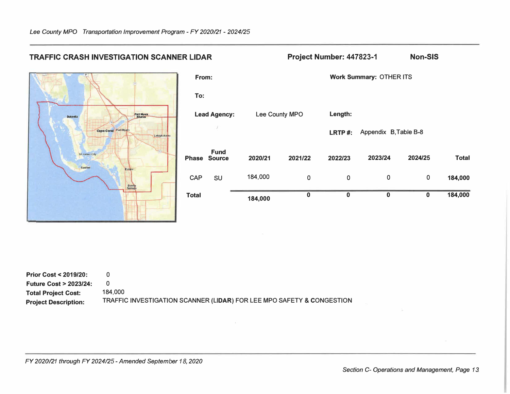

| <b>Prior Cost &lt; 2019/20:</b>  |                                                                       |
|----------------------------------|-----------------------------------------------------------------------|
| <b>Future Cost &gt; 2023/24:</b> |                                                                       |
| <b>Total Project Cost:</b>       | 184.000                                                               |
| <b>Project Description:</b>      | TRAFFIC INVESTIGATION SCANNER (LIDAR) FOR LEE MPO SAFETY & CONGESTION |

*FY 2020/21 through FY 2024/25-Amended September 18, 2020*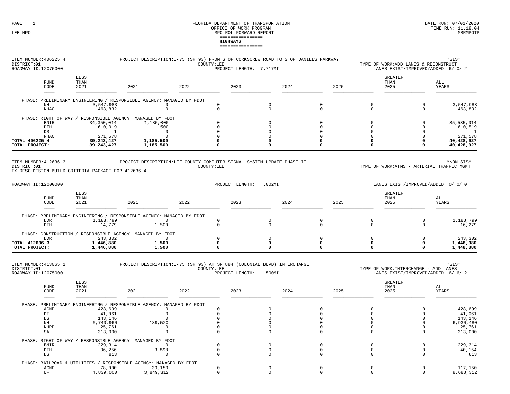| ITEM NUMBER: 406225 4<br>DISTRICT:01<br>ROADWAY ID:12075000                                 |                         | PROJECT DESCRIPTION: I-75 (SR 93) FROM S OF CORKSCREW ROAD TO S OF DANIELS PARKWAY        | COUNTY:LEE                  | PROJECT LENGTH: 7.717MI |                             |                            |                      | TYPE OF WORK:ADD LANES & RECONSTRUCT<br>LANES EXIST/IMPROVED/ADDED: 6/ 0/ 2  | $*$ SIS $*$           |
|---------------------------------------------------------------------------------------------|-------------------------|-------------------------------------------------------------------------------------------|-----------------------------|-------------------------|-----------------------------|----------------------------|----------------------|------------------------------------------------------------------------------|-----------------------|
| <b>FUND</b><br>CODE                                                                         | LESS<br>THAN<br>2021    | 2021                                                                                      | 2022                        | 2023                    | 2024                        | 2025                       |                      | <b>GREATER</b><br>THAN<br>2025                                               | ALL<br>YEARS          |
|                                                                                             |                         | PHASE: PRELIMINARY ENGINEERING / RESPONSIBLE AGENCY: MANAGED BY FDOT                      |                             |                         |                             |                            |                      |                                                                              |                       |
| NH<br>$\rm NHAC$                                                                            | 3,547,983<br>463,832    | $\mathbf 0$<br>$\mathbb O$                                                                | $\mathbf 0$<br>$\mathbb O$  |                         | $\mathbf 0$<br>$\mathbb O$  | $\mathbf 0$<br>$\mathbb O$ | $\Omega$<br>0        | $\mathbf 0$<br>$\mathbb O$                                                   | 3,547,983<br>463,832  |
|                                                                                             |                         | PHASE: RIGHT OF WAY / RESPONSIBLE AGENCY: MANAGED BY FDOT                                 | $\Omega$                    |                         |                             |                            | $\Omega$             | $\Omega$                                                                     |                       |
| <b>BNIR</b><br>DIH                                                                          | 34,350,014<br>610,019   | 1,185,000<br>500                                                                          | $\Omega$                    |                         | $\circ$<br>$\Omega$         | $\mathbf 0$<br>$\Omega$    | $\Omega$             | $\Omega$                                                                     | 35,535,014<br>610,519 |
| DS                                                                                          | $\mathbf{1}$            | $\overline{0}$                                                                            | $\mathbf 0$                 |                         | $\mathbf 0$                 | $\mathbf 0$                | $\Omega$             | $\mathbf 0$                                                                  |                       |
| <b>NHAC</b><br>TOTAL 406225 4                                                               | 271,578<br>39, 243, 427 | $\Omega$<br>1,185,500                                                                     | $\Omega$<br>0               |                         | $\Omega$<br>$\mathbf 0$     | $\Omega$<br>$\Omega$       | $\Omega$<br>$\Omega$ | $\Omega$<br>$\Omega$                                                         | 271,578<br>40,428,927 |
| TOTAL PROJECT:                                                                              | 39,243,427              | 1,185,500                                                                                 | 0                           |                         | $\Omega$                    | 0                          | 0                    | $\mathbf 0$                                                                  | 40,428,927            |
| ITEM NUMBER: 412636 3<br>DISTRICT:01<br>EX DESC: DESIGN-BUILD CRITERIA PACKAGE FOR 412636-4 |                         | PROJECT DESCRIPTION:LEE COUNTY COMPUTER SIGNAL SYSTEM UPDATE PHASE II                     | COUNTY:LEE                  |                         |                             |                            |                      | TYPE OF WORK:ATMS - ARTERIAL TRAFFIC MGMT                                    | *NON-SIS*             |
| ROADWAY ID:12000000                                                                         |                         |                                                                                           |                             | PROJECT LENGTH:         | .002MI                      |                            |                      | LANES EXIST/IMPROVED/ADDED: 0/ 0/ 0                                          |                       |
| <b>FUND</b><br>CODE                                                                         | LESS<br>THAN<br>2021    | 2021                                                                                      | 2022                        | 2023                    | 2024                        | 2025                       |                      | <b>GREATER</b><br>THAN<br>2025                                               | ALL<br>YEARS          |
|                                                                                             |                         |                                                                                           |                             |                         |                             |                            |                      |                                                                              |                       |
| <b>DDR</b><br>DIH                                                                           | 1,188,799<br>14,779     | PHASE: PRELIMINARY ENGINEERING / RESPONSIBLE AGENCY: MANAGED BY FDOT<br>$\Omega$<br>1,500 | $\mathbf 0$<br>$\mathbb O$  |                         | $\mathbf{0}$<br>$\mathbf 0$ | $\mathbf 0$<br>$\mathbb O$ | $\Omega$<br>0        | $\mathbf 0$<br>$\mathbf 0$                                                   | 1,188,799<br>16,279   |
|                                                                                             |                         | PHASE: CONSTRUCTION / RESPONSIBLE AGENCY: MANAGED BY FDOT                                 |                             |                         |                             |                            |                      |                                                                              |                       |
| <b>DDR</b><br>TOTAL 412636 3                                                                | 243,302<br>1,446,880    | $\mathbf 0$<br>1,500                                                                      | $\mathbf{0}$<br>$\mathbf 0$ |                         | $\circ$<br>$\mathbf 0$      | $\mathbb O$<br>0           | $\Omega$<br>0        | $\mathbf 0$<br>0                                                             | 243,302<br>1,448,380  |
| TOTAL PROJECT:                                                                              | 1,446,880               | 1,500                                                                                     | 0                           |                         | $\mathbf 0$                 | 0                          | 0                    | 0                                                                            | 1,448,380             |
| ITEM NUMBER: 413065 1<br>DISTRICT:01<br>ROADWAY ID:12075000                                 |                         | PROJECT DESCRIPTION: I-75 (SR 93) AT SR 884 (COLONIAL BLVD) INTERCHANGE                   | COUNTY:LEE                  | PROJECT LENGTH:         | .500MI                      |                            |                      | TYPE OF WORK: INTERCHANGE - ADD LANES<br>LANES EXIST/IMPROVED/ADDED: 6/ 6/ 2 | $*$ SIS $*$           |
| FUND<br>CODE                                                                                | LESS<br>THAN<br>2021    | 2021                                                                                      | 2022                        | 2023                    | 2024                        | 2025                       |                      | <b>GREATER</b><br>THAN<br>2025                                               | ALL<br>YEARS          |
|                                                                                             |                         |                                                                                           |                             |                         |                             |                            |                      |                                                                              |                       |
| ACNP                                                                                        | 428,699                 | PHASE: PRELIMINARY ENGINEERING / RESPONSIBLE AGENCY: MANAGED BY FDOT<br>$\Omega$          | $\Omega$                    |                         | $\circ$                     | $\mathbf 0$                | $\Omega$             | $\mathbf 0$                                                                  | 428,699               |
| DI                                                                                          | 41,061                  | $\mathbf 0$                                                                               | $\mathbf 0$                 |                         | $\mathsf 0$                 | $\mathbb O$                | $\Omega$             | $\mathbf 0$                                                                  | 41,061                |
| DS<br>NH                                                                                    | 143,146<br>6,740,960    | $\mathbf 0$<br>189,520                                                                    | $\Omega$<br>$\mathbf 0$     |                         | $\circ$<br>$\circ$          | $\mathbf 0$<br>$\mathbf 0$ | $\Omega$<br>0        | $\Omega$<br>$\mathbf 0$                                                      | 143,146<br>6,930,480  |
| NHPP                                                                                        | 25,761                  | $\Omega$                                                                                  | $\Omega$                    |                         | $\mathbf 0$                 | $\Omega$                   | $\Omega$             | $\Omega$                                                                     | 25,761                |
| SA                                                                                          | 313,000                 | $\Omega$                                                                                  | $\Omega$                    |                         | $\Omega$                    | $\mathbf 0$                | $\Omega$             | $\Omega$                                                                     | 313,000               |
|                                                                                             |                         | PHASE: RIGHT OF WAY / RESPONSIBLE AGENCY: MANAGED BY FDOT                                 |                             |                         |                             |                            |                      |                                                                              |                       |
| <b>BNIR</b><br>DIH                                                                          | 229,314<br>36,256       | $\mathbf{0}$<br>3,898                                                                     | $\Omega$<br>$\mathbf 0$     |                         | $\mathbf{0}$<br>$\mathbf 0$ | $\mathbf 0$<br>$^{\circ}$  | $\Omega$<br>$\Omega$ | $\Omega$<br>$\mathbf 0$                                                      | 229,314<br>40,154     |
| DS                                                                                          | 813                     | $\mathbf 0$                                                                               | $\mathbf{0}$                |                         | $\mathbf 0$                 | $\mathbf 0$                | $\mathbf{0}$         | $\mathbf 0$                                                                  | 813                   |

| כע.                           | O.L.     |                                       |  |  |               |
|-------------------------------|----------|---------------------------------------|--|--|---------------|
| PHASE: RAILROAD & UTILITIES / |          | / RESPONSIBLE AGENCY: MANAGED BY FDOT |  |  |               |
| ACNP                          | 78,000   |                                       |  |  | 150<br>117710 |
| T.F                           | .839.000 | ,849,312                              |  |  | ,688,312      |
|                               |          |                                       |  |  |               |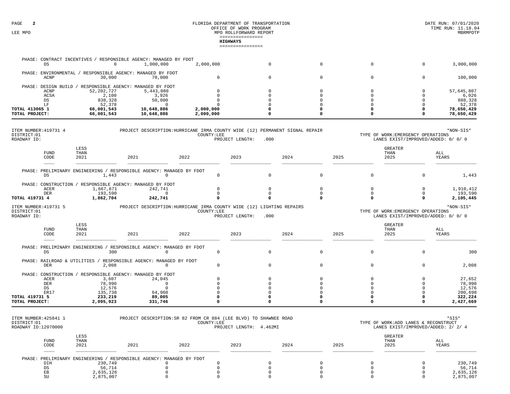|                                                     |                     |                          |                                                                                  |                        | <b>HIGHWAYS</b><br>================ |                            |               |                            |                      |                                                                           |                          |
|-----------------------------------------------------|---------------------|--------------------------|----------------------------------------------------------------------------------|------------------------|-------------------------------------|----------------------------|---------------|----------------------------|----------------------|---------------------------------------------------------------------------|--------------------------|
|                                                     | $_{\rm DS}$         | $\circ$                  | PHASE: CONTRACT INCENTIVES / RESPONSIBLE AGENCY: MANAGED BY FDOT<br>1,000,000    | 2,000,000              |                                     | $\mathsf 0$                |               | $\mathbf 0$                | $\mathbf 0$          | $\mathbf{0}$                                                              | 3,000,000                |
|                                                     |                     |                          |                                                                                  |                        |                                     |                            |               |                            |                      |                                                                           |                          |
|                                                     | ACNP                | 30,000                   | PHASE: ENVIRONMENTAL / RESPONSIBLE AGENCY: MANAGED BY FDOT<br>70,000             | $\Omega$               |                                     | $\mathbf 0$                |               | $\mathbf 0$                | $\mathbf 0$          | $\mathbf 0$                                                               | 100,000                  |
|                                                     |                     |                          | PHASE: DESIGN BUILD / RESPONSIBLE AGENCY: MANAGED BY FDOT                        |                        |                                     |                            |               |                            |                      |                                                                           |                          |
|                                                     | ACNP                | 52, 202, 727             | 5,443,080                                                                        | <sup>n</sup>           |                                     | $\Omega$                   |               | $\Omega$                   | $\Omega$             | $\Omega$                                                                  | 57,645,807               |
|                                                     | ACSA<br>DS          | 2,100<br>838,328         | 3,926<br>50,000                                                                  | $\Omega$<br>$\cap$     |                                     | $\Omega$<br>$\Omega$       |               | $\Omega$<br>$\Omega$       | $\Omega$<br>n        | $\Omega$<br>$\Omega$                                                      | 6,026<br>888,328         |
|                                                     | LF                  | 52,378                   | $\Omega$                                                                         |                        |                                     | O                          |               |                            |                      |                                                                           | 52,378                   |
| TOTAL 413065 1<br>TOTAL PROJECT:                    |                     | 66,001,543<br>66,001,543 | 10,648,886<br>10,648,886                                                         | 2,000,000<br>2,000,000 |                                     | $\Omega$                   | 0<br>$\Omega$ |                            |                      | O<br>$\Omega$                                                             | 78,650,429<br>78,650,429 |
| ITEM NUMBER: 419731 4<br>DISTRICT:01<br>ROADWAY ID: |                     |                          | PROJECT DESCRIPTION: HURRICANE IRMA COUNTY WIDE (12) PERMANENT SIGNAL REPAIR     | COUNTY:LEE             | PROJECT LENGTH:                     | .000                       |               |                            |                      | TYPE OF WORK: EMERGENCY OPERATIONS<br>LANES EXIST/IMPROVED/ADDED: 0/ 0/ 0 | *NON-SIS*                |
|                                                     | <b>FUND</b><br>CODE | LESS<br>THAN<br>2021     | 2021                                                                             | 2022                   | 2023                                |                            | 2024          | 2025                       | THAN<br>2025         | <b>GREATER</b>                                                            | ALL<br>YEARS             |
|                                                     | DS                  | 1,443                    | PHASE: PRELIMINARY ENGINEERING / RESPONSIBLE AGENCY: MANAGED BY FDOT<br>$\Omega$ | $\mathbf 0$            |                                     | $\mathbf 0$                |               | $\mathbf 0$                | $\mathbf 0$          | $\mathbf 0$                                                               | 1,443                    |
|                                                     |                     |                          | PHASE: CONSTRUCTION / RESPONSIBLE AGENCY: MANAGED BY FDOT                        |                        |                                     |                            |               |                            |                      |                                                                           |                          |
|                                                     | ACER<br><b>DER</b>  | 1,667,671<br>193,590     | 242,741<br>$\Omega$                                                              | $\cap$<br>$\Omega$     |                                     | $\mathbf 0$<br>$\mathbf 0$ |               | $\mathbf 0$<br>$\mathbf 0$ | 0<br>$\Omega$        | $\mathbf 0$<br>$\Omega$                                                   | 1,910,412<br>193,590     |
| TOTAL 419731 4                                      |                     | 1,862,704                | 242,741                                                                          | $\Omega$               |                                     | $\Omega$                   | $\Omega$      |                            |                      | $\Omega$                                                                  | 2,105,445                |
| ITEM NUMBER: 419731 5<br>DISTRICT:01<br>ROADWAY ID: |                     |                          | PROJECT DESCRIPTION: HURRICANE IRMA COUNTY WIDE (12) LIGHTING REPAIRS            | COUNTY:LEE             | PROJECT LENGTH:                     | .000                       |               |                            |                      | TYPE OF WORK: EMERGENCY OPERATIONS<br>LANES EXIST/IMPROVED/ADDED: 0/ 0/ 0 | *NON-SIS*                |
|                                                     | <b>FUND</b><br>CODE | LESS<br>THAN<br>2021     | 2021                                                                             | 2022                   | 2023                                |                            | 2024          | 2025                       | THAN<br>2025         | <b>GREATER</b>                                                            | ALL<br>YEARS             |
|                                                     |                     |                          | PHASE: PRELIMINARY ENGINEERING / RESPONSIBLE AGENCY: MANAGED BY FDOT             |                        |                                     |                            |               |                            |                      |                                                                           |                          |
|                                                     | <b>DS</b>           | 300                      | $\Omega$                                                                         | $\mathbf 0$            |                                     | $\mathbf 0$                |               | $\mathbf 0$                | $\mathbf 0$          | $\mathbf 0$                                                               | 300                      |
|                                                     | <b>DER</b>          | 2,008                    | PHASE: RAILROAD & UTILITIES / RESPONSIBLE AGENCY: MANAGED BY FDOT<br>$\Omega$    | $\Omega$               |                                     | $\mathsf 0$                |               | $\mathbf 0$                | $\mathbf 0$          | $\Omega$                                                                  | 2,008                    |
|                                                     |                     |                          | PHASE: CONSTRUCTION / RESPONSIBLE AGENCY: MANAGED BY FDOT                        |                        |                                     |                            |               |                            |                      |                                                                           |                          |
|                                                     | ACER<br><b>DER</b>  | 3,607<br>78,990          | 24,045<br>$\Omega$                                                               | $\Omega$               |                                     | $\Omega$<br>$\Omega$       | $\Omega$      | $\Omega$                   | $\Omega$<br>$\Omega$ | $\Omega$<br>$\Omega$                                                      | 27,652<br>78,990         |
|                                                     | DS                  | 12,576                   | $\Omega$                                                                         | $\cap$                 |                                     | $\Omega$                   | $\Omega$      |                            | $\Omega$             | $\Omega$                                                                  | 12,576                   |
|                                                     | ER17                | 135,738                  | 64,960                                                                           | <sup>n</sup>           |                                     | $\Omega$                   | $\Omega$      |                            |                      | $\cap$                                                                    | 200,698                  |
| TOTAL 419731 5<br>TOTAL PROJECT:                    |                     | 233,219<br>2,095,923     | 89,005<br>331,746                                                                | $\Omega$<br>$\Omega$   |                                     | 0<br>$\Omega$              | 0<br>$\Omega$ |                            | 0<br>$\Omega$        | $\Omega$<br>$\mathbf 0$                                                   | 322,224<br>2,427,669     |
| ITEM NUMBER: 425841 1                               |                     |                          | PROJECT DESCRIPTION: SR 82 FROM CR 884 (LEE BLVD) TO SHAWNEE ROAD                |                        |                                     |                            |               |                            |                      |                                                                           | *SIS*                    |

| IIEM NUMBER.IZJ0II I<br>DISTRICT:01<br>ROADWAY ID:12070000 |                                                                      | FROUGLI DESCRIFIION SR 04 FROM CR 007 (DEE BOVD) IO SHAMNEE ROAD |      | ⊂سد ⊂<br>TYPE OF WORK:ADD LANES & RECONSTRUCT<br>LANES EXIST/IMPROVED/ADDED: 2/ 2/ 4 |      |      |                         |              |
|------------------------------------------------------------|----------------------------------------------------------------------|------------------------------------------------------------------|------|--------------------------------------------------------------------------------------|------|------|-------------------------|--------------|
| <b>FUND</b><br>CODE                                        | LESS<br>THAN<br>2021                                                 | 2021                                                             | 2022 | 2023                                                                                 | 2024 | 2025 | GREATER<br>THAN<br>2025 | ALL<br>YEARS |
|                                                            | PHASE: PRELIMINARY ENGINEERING / RESPONSIBLE AGENCY: MANAGED BY FDOT |                                                                  |      |                                                                                      |      |      |                         |              |
| DIH                                                        | 230,749                                                              |                                                                  |      |                                                                                      |      |      |                         | 230,749      |
|                                                            | 56,714                                                               |                                                                  |      |                                                                                      |      |      |                         | 56,714       |
|                                                            | 2,635,126                                                            |                                                                  |      |                                                                                      |      |      |                         | 2,635,126    |
| SU                                                         | 2,875,007                                                            |                                                                  |      |                                                                                      |      |      |                         | 2,875,007    |
|                                                            |                                                                      |                                                                  |      |                                                                                      |      |      |                         |              |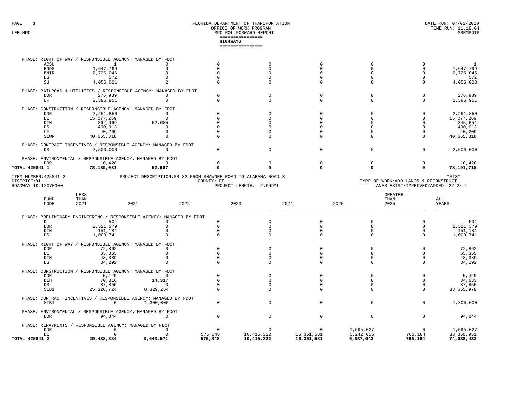| PHASE: RIGHT<br>OF<br>WAY                                   | RESPONSIBLE AGENCY: MANAGED BY      | FDOT                                                           |                               |             |                |                                                                             |             |
|-------------------------------------------------------------|-------------------------------------|----------------------------------------------------------------|-------------------------------|-------------|----------------|-----------------------------------------------------------------------------|-------------|
| ACSU                                                        |                                     |                                                                |                               |             |                |                                                                             |             |
| <b>BNDS</b>                                                 | 1,647,799                           |                                                                |                               |             |                |                                                                             | 1,647,799   |
| <b>BNIR</b>                                                 | 2,726,046                           |                                                                |                               |             |                |                                                                             | 2,726,046   |
| DS                                                          | 572                                 |                                                                |                               |             |                |                                                                             | 572         |
| SU                                                          | 4,055,021                           |                                                                |                               |             |                |                                                                             | 4,055,023   |
| PHASE: RAILROAD & UTILITIES                                 |                                     | RESPONSIBLE AGENCY: MANAGED BY FDOT                            |                               |             |                |                                                                             |             |
| <b>DDR</b>                                                  | 276,989                             |                                                                |                               |             |                |                                                                             | 276,989     |
| LF                                                          | 2,396,951                           |                                                                |                               |             |                | $\Omega$                                                                    | 2,396,951   |
| PHASE: CONSTRUCTION                                         | RESPONSIBLE AGENCY: MANAGED BY FDOT |                                                                |                               |             |                |                                                                             |             |
| <b>DDR</b>                                                  | 2,251,850                           |                                                                |                               |             |                |                                                                             | 2,251,850   |
| DI                                                          | 15,077,269                          |                                                                |                               |             |                |                                                                             | 15,077,269  |
| DIH                                                         | 292,969                             | 52,685                                                         |                               |             |                |                                                                             | 345,654     |
| DS                                                          | 400,013                             |                                                                |                               |             |                |                                                                             | 400,013     |
| LF                                                          | 40,209                              |                                                                |                               |             |                |                                                                             | 40,209      |
| SIWR                                                        | 40,665,318                          |                                                                |                               |             |                |                                                                             | 40,665,318  |
| PHASE:<br>CONTRACT<br>INCENTIVES                            |                                     | / RESPONSIBLE AGENCY: MANAGED BY FDOT                          |                               |             |                |                                                                             |             |
| DS                                                          | 2,500,000                           |                                                                |                               | $\mathbf 0$ |                | $\mathbf{0}$                                                                | 2,500,000   |
| ENVIRONMENTAL<br>PHASE:                                     | RESPONSIBLE AGENCY: MANAGED BY FDOT |                                                                |                               |             |                |                                                                             |             |
| <b>DDR</b>                                                  | 10,428                              |                                                                |                               |             |                |                                                                             | 10,428      |
| TOTAL 425841 1                                              | 78,139,031                          | 52,687                                                         |                               |             |                |                                                                             | 78,191,718  |
| ITEM NUMBER: 425841 2<br>DISTRICT:01<br>ROADWAY ID:12070000 |                                     | PROJECT DESCRIPTION: SR 82 FROM SHAWNEE ROAD TO ALABAMA ROAD S | COUNTY:LEE<br>PROJECT LENGTH: | 2.949MI     |                | TYPE OF WORK:ADD LANES & RECONSTRUCT<br>LANES EXIST/IMPROVED/ADDED: 2/ 2/ 4 | $*$ SIS $*$ |
|                                                             |                                     |                                                                |                               |             |                |                                                                             |             |
| LESS                                                        |                                     |                                                                |                               |             | <b>GREATER</b> |                                                                             |             |

| FUND<br>CODE                 | THAN<br>2021                      | 2021                                | 2022    | 2023         | 2024         | 2025      | THAN<br>2025 | ALL<br>YEARS |
|------------------------------|-----------------------------------|-------------------------------------|---------|--------------|--------------|-----------|--------------|--------------|
| PHASE:<br>PRELIMINARY        | ENGINEERING                       | RESPONSIBLE AGENCY: MANAGED BY FDOT |         |              |              |           |              |              |
| D                            | 504                               |                                     |         |              |              |           |              | 504          |
| <b>DDR</b>                   | 2,521,379                         |                                     |         |              |              |           |              | 2,521,379    |
| DIH                          | 151,184                           |                                     |         |              |              |           |              | 151,184      |
| DS                           | 1,009,741                         |                                     |         |              |              |           |              | 1,009,741    |
| PHASE:<br><b>RTGHT</b><br>OF | RESPONSIBLE AGENCY:<br><b>WAY</b> | MANAGED BY FDOT                     |         |              |              |           |              |              |
| <b>DDR</b>                   | 72,862                            |                                     |         |              |              |           |              | 72,862       |
| DI                           | 65,365                            |                                     |         |              |              |           |              | 65,365       |
| DIH                          | 48,389                            |                                     |         |              |              |           |              | 48,389       |
| <b>DS</b>                    | 34,292                            |                                     |         |              |              |           |              | 34,292       |
| CONSTRUCTION<br>PHASE:       | RESPONSIBLE AGENCY:               | MANAGED BY FDOT                     |         |              |              |           |              |              |
| <b>DDR</b>                   | 5,429                             |                                     |         |              |              |           |              | 5,429        |
| DIH                          | 70,316                            | 14,317                              |         |              |              |           |              | 84,633       |
| DS                           | 37,855                            |                                     |         |              |              |           |              | 37,855       |
| SIB1                         | 25,326,724                        | 8,329,254                           |         |              |              |           |              | 33,655,978   |
| PHASE:                       | CONTRACT INCENTIVES               | RESPONSIBLE AGENCY: MANAGED BY FDOT |         |              |              |           |              |              |
| SIB1                         |                                   | 1,300,000                           |         |              |              |           | $\Omega$     | 1,300,000    |
| PHASE:<br>ENVIRONMENTAL      |                                   | RESPONSIBLE AGENCY: MANAGED BY FDOT |         |              |              |           |              |              |
| <b>DDR</b>                   | 94,844                            |                                     |         |              |              |           |              | 94,844       |
| REPAYMENTS<br>PHASE:         |                                   | RESPONSIBLE AGENCY: MANAGED BY FDOT |         |              |              |           |              |              |
| <b>DDR</b>                   |                                   |                                     |         |              |              | 1,595,027 |              | 1,595,027    |
| DI                           |                                   |                                     | 575,848 | 10, 415, 322 | 16, 361, 581 | 5,242,016 | 766,184      | 33,360,951   |
| TOTAL 425841 2               | 29,438,884                        | 9,643,571                           | 575,848 | 10,415,322   | 16,361,581   | 6,837,043 | 766,184      | 74,038,433   |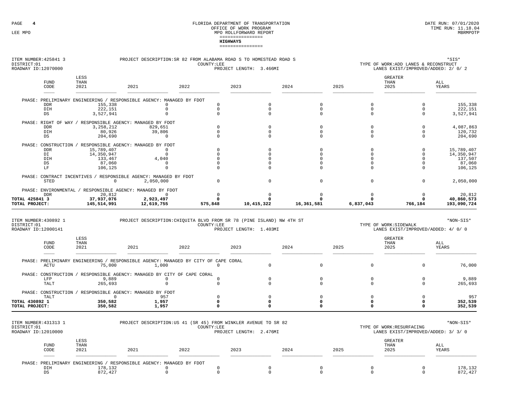| ITEM NUMBER: 425841 3<br>DISTRICT:01<br>ROADWAY ID:12070000 | PROJECT DESCRIPTION: SR 82 FROM ALABAMA ROAD S TO HOMESTEAD ROAD S    | $*$ SIS $*$<br>TYPE OF WORK:ADD LANES & RECONSTRUCT<br>LANES EXIST/IMPROVED/ADDED: 2/ 0/ 2 |            |            |           |                                |              |
|-------------------------------------------------------------|-----------------------------------------------------------------------|--------------------------------------------------------------------------------------------|------------|------------|-----------|--------------------------------|--------------|
| LESS<br>THAN<br><b>FUND</b><br>CODE<br>2021                 | 2021                                                                  | 2022                                                                                       | 2023       | 2024       | 2025      | <b>GREATER</b><br>THAN<br>2025 | ALL<br>YEARS |
| PHASE:<br>PRELIMINARY ENGINEERING                           | RESPONSIBLE AGENCY:                                                   | MANAGED BY FDOT                                                                            |            |            |           |                                |              |
| 155,338<br><b>DDR</b>                                       |                                                                       |                                                                                            |            |            |           |                                | 155,338      |
| 222,151<br>DIH                                              |                                                                       |                                                                                            |            |            |           | 0                              | 222,151      |
| DS<br>3,527,941                                             |                                                                       |                                                                                            |            | $\Omega$   | $\Omega$  | $\Omega$                       | 3,527,941    |
| RESPONSIBLE AGENCY:<br>PHASE:<br>RIGHT<br>OF WAY            | MANAGED BY FDOT                                                       |                                                                                            |            |            |           |                                |              |
| 3, 258, 212<br><b>DDR</b>                                   | 829,651                                                               |                                                                                            |            | $\Omega$   | $\circ$   | 0                              | 4,087,863    |
| DIH<br>80,926                                               | 39,806                                                                |                                                                                            |            |            | $\Omega$  | $\mathbf 0$                    | 120,732      |
| DS<br>204,690                                               | $\Omega$                                                              |                                                                                            |            | $\Omega$   | $\Omega$  | $\Omega$                       | 204,690      |
| CONSTRUCTION<br>PHASE:                                      | RESPONSIBLE AGENCY: MANAGED BY FDOT                                   |                                                                                            |            |            |           |                                |              |
| 15,789,407<br><b>DDR</b>                                    |                                                                       |                                                                                            |            |            |           |                                | 15,789,407   |
| DI<br>14,350,947                                            |                                                                       |                                                                                            |            |            |           |                                | 14,350,947   |
| DIH<br>133,467                                              | 4,040                                                                 |                                                                                            |            |            |           |                                | 137,507      |
| $_{\rm DS}$<br>87,060                                       |                                                                       |                                                                                            |            |            |           |                                | 87,060       |
| LF<br>106,125                                               |                                                                       |                                                                                            |            | $\Omega$   | $\Omega$  | $\Omega$                       | 106,125      |
| CONTRACT INCENTIVES<br>PHASE:                               | RESPONSIBLE AGENCY: MANAGED BY FDOT                                   |                                                                                            |            |            |           |                                |              |
| $\mathbf 0$<br><b>STED</b>                                  | 2,050,000                                                             |                                                                                            | $\Omega$   | $\Omega$   | $\Omega$  | $\mathbf 0$                    | 2,050,000    |
| PHASE: ENVIRONMENTAL /                                      | RESPONSIBLE AGENCY: MANAGED BY FDOT                                   |                                                                                            |            |            |           |                                |              |
| 20,812<br><b>DDR</b>                                        | $\Omega$                                                              |                                                                                            |            |            |           |                                | 20,812       |
| TOTAL 425841 3<br>37,937,076                                | 2,923,497                                                             |                                                                                            |            |            |           |                                | 40,860,573   |
| 145,514,991<br>TOTAL PROJECT:                               | 12,619,755                                                            | 575,848                                                                                    | 10,415,322 | 16,361,581 | 6,837,043 | 766,184                        | 193,090,724  |
|                                                             |                                                                       |                                                                                            |            |            |           |                                |              |
| ITEM NUMBER: 430892 1                                       | PROJECT DESCRIPTION: CHIQUITA BLVD FROM SR 78 (PINE ISLAND) NW 4TH ST |                                                                                            |            |            |           |                                | *NON-SIS*    |

| TIEM MOMBER. FOOGST<br>DISTRICT:01<br>ROADWAY ID:12000141 |                     |                                     | RKOUBLI DESCRIPTION CHIQUITA BEVD FROM SR 70 (PINE ISBAND) NW 4IN SI                        | COUNTY:LEE<br>PROJECT LENGTH: 1.403MI | TYPE OF WORK: SIDEWALK |      | ™UN-DID<br>LANES EXIST/IMPROVED/ADDED: 4/ 0/ 0 |          |              |
|-----------------------------------------------------------|---------------------|-------------------------------------|---------------------------------------------------------------------------------------------|---------------------------------------|------------------------|------|------------------------------------------------|----------|--------------|
|                                                           | <b>FUND</b><br>CODE | LESS<br>THAN<br>2021<br>2021        | 2022                                                                                        | 2023                                  | 2024                   | 2025 | <b>GREATER</b><br>THAN<br>2025                 |          | ALL<br>YEARS |
|                                                           | ACTU                | 75,000                              | PHASE: PRELIMINARY ENGINEERING / RESPONSIBLE AGENCY: MANAGED BY CITY OF CAPE CORAL<br>1,000 |                                       |                        |      |                                                | $\Omega$ | 76,000       |
|                                                           |                     |                                     | PHASE: CONSTRUCTION / RESPONSIBLE AGENCY: MANAGED BY CITY OF CAPE CORAL                     |                                       |                        |      |                                                |          |              |
|                                                           | LFP                 | 9,889                               |                                                                                             |                                       |                        |      |                                                |          | 9,889        |
|                                                           | TALT                | 265,693                             |                                                                                             |                                       |                        |      |                                                |          | 265,693      |
|                                                           | PHASE: CONSTRUCTION | RESPONSIBLE AGENCY: MANAGED BY FDOT |                                                                                             |                                       |                        |      |                                                |          |              |
|                                                           | TALT                |                                     | 957                                                                                         |                                       |                        |      |                                                |          | 957          |
| TOTAL 430892 1                                            |                     | 350,582                             | 1,957                                                                                       |                                       |                        |      |                                                |          | 352,539      |
| TOTAL PROJECT:                                            |                     | 350,582                             | 1,957                                                                                       |                                       |                        |      |                                                |          | 352,539      |
|                                                           |                     |                                     |                                                                                             |                                       |                        |      |                                                |          |              |

| ITEM NUMBER: 431313 1<br>DISTRICT:01<br>ROADWAY ID:12010000 |                      | PROJECT DESCRIPTION: US 41 (SR 45) FROM WINKLER AVENUE TO SR 82<br>TYPE OF WORK:RESURFACING<br>COUNTY:LEE<br>LANES EXIST/IMPROVED/ADDED: 3/ 3/ 0<br>PROJECT LENGTH:<br>2.476MI |                                                                      |      |      |      |                                |  |                    |  |
|-------------------------------------------------------------|----------------------|--------------------------------------------------------------------------------------------------------------------------------------------------------------------------------|----------------------------------------------------------------------|------|------|------|--------------------------------|--|--------------------|--|
| <b>FUND</b><br>CODE<br>____                                 | LESS<br>THAN<br>2021 | 2021                                                                                                                                                                           | 2022                                                                 | 2023 | 2024 | 2025 | <b>GREATER</b><br>THAN<br>2025 |  | ALL<br>YEARS       |  |
| DIH<br>DS                                                   |                      | 178,132<br>872,427                                                                                                                                                             | PHASE: PRELIMINARY ENGINEERING / RESPONSIBLE AGENCY: MANAGED BY FDOT |      |      |      |                                |  | 178,132<br>872,427 |  |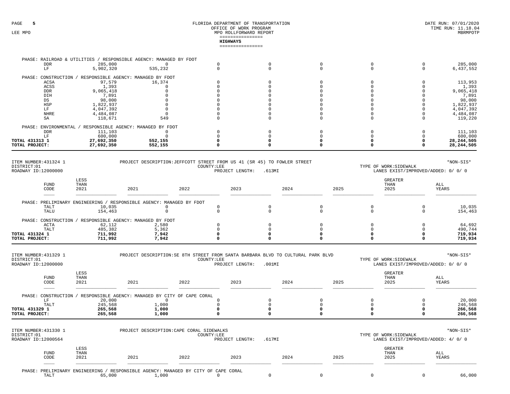#### FLORIDA DEPARTMENT OF TRANSPORTATION OFFICE OF WORK PROGRAM LEE MPO  $\,$  MPO ROLLFORWARD REPORT  $\,$ ================**HIGHWAYS**================

| TOTAL PROJECT: |                             | 27,692,350                                                 | 552,155                             |  |  | 28, 244, 505 |
|----------------|-----------------------------|------------------------------------------------------------|-------------------------------------|--|--|--------------|
| TOTAL 431313 1 |                             | 27,692,350                                                 | 552,155                             |  |  | 28, 244, 505 |
|                |                             | 600,000                                                    |                                     |  |  | 600,000      |
|                | <b>DDR</b>                  | 111,103                                                    |                                     |  |  | 111,103      |
|                |                             | PHASE: ENVIRONMENTAL / RESPONSIBLE AGENCY: MANAGED BY FDOT |                                     |  |  |              |
|                | SA                          | 118,671                                                    | 549                                 |  |  | 119,220      |
|                | NHRE                        | 4,484,087                                                  |                                     |  |  | 4,484,087    |
|                | LF                          | 4,047,392                                                  |                                     |  |  | 4,047,392    |
|                | HSP                         | 1,822,937                                                  |                                     |  |  | 1,822,937    |
|                | DS                          | 98,000                                                     |                                     |  |  | 98,000       |
|                | DIH                         | 7,891                                                      |                                     |  |  | 7,891        |
|                | <b>DDR</b>                  | 9,065,418                                                  |                                     |  |  | 9,065,418    |
|                | ACSS                        | 1,393                                                      |                                     |  |  | 1,393        |
|                | ACSA                        | 97,579                                                     | 16,374                              |  |  | 113,953      |
|                | PHASE: CONSTRUCTION         | RESPONSIBLE AGENCY: MANAGED BY FDOT                        |                                     |  |  |              |
|                | LF                          | 5,902,320                                                  | 535,232                             |  |  | 6,437,552    |
|                | <b>DDR</b>                  | 285,000                                                    |                                     |  |  | 285,000      |
|                | PHASE: RAILROAD & UTILITIES |                                                            | RESPONSIBLE AGENCY: MANAGED BY FDOT |  |  |              |

| ITEM NUMBER: 431324 1<br>DISTRICT:01<br>ROADWAY ID:12000000 |                      | PROJECT DESCRIPTION: JEFFCOTT STREET FROM US 41 (SR 45) TO FOWLER STREET<br>COUNTY:LEE<br>TYPE OF WORK: SIDEWALK<br>PROJECT LENGTH:<br>LANES EXIST/IMPROVED/ADDED: 0/ 0/ 0<br>.613MI |      |      |      |              |         |              |  |
|-------------------------------------------------------------|----------------------|--------------------------------------------------------------------------------------------------------------------------------------------------------------------------------------|------|------|------|--------------|---------|--------------|--|
| <b>FUND</b><br>CODE                                         | LESS<br>THAN<br>2021 | 2022<br>2021                                                                                                                                                                         | 2023 | 2024 | 2025 | THAN<br>2025 | GREATER | ALL<br>YEARS |  |
|                                                             |                      | PHASE: PRELIMINARY ENGINEERING / RESPONSIBLE AGENCY: MANAGED BY FDOT                                                                                                                 |      |      |      |              |         |              |  |
| TALT                                                        | 10,035               |                                                                                                                                                                                      |      |      |      |              |         | 10,035       |  |
| TALU                                                        | 154,463              |                                                                                                                                                                                      |      |      |      |              |         | 154,463      |  |
| PHASE: CONSTRUCTION                                         |                      | RESPONSIBLE AGENCY: MANAGED BY FDOT                                                                                                                                                  |      |      |      |              |         |              |  |
| ACTA                                                        | 62,112               | 2,580                                                                                                                                                                                |      |      |      |              |         | 64,692       |  |
| TALT                                                        | 485,382              | 5,362                                                                                                                                                                                |      |      |      |              |         | 490,744      |  |
| TOTAL 431324 1                                              | 711,992              | 7,942                                                                                                                                                                                |      |      |      |              |         | 719,934      |  |
| TOTAL PROJECT:                                              | 711,992              | 7,942                                                                                                                                                                                |      |      |      |              |         | 719,934      |  |

| ITEM NUMBER: 431329 1            | PROJECT DESCRIPTION: SE 8TH STREET FROM SANTA BARBARA BLVD TO CULTURAL PARK BLVD |                                     |                              |      |      |                        | *NON-SIS* |
|----------------------------------|----------------------------------------------------------------------------------|-------------------------------------|------------------------------|------|------|------------------------|-----------|
| DISTRICT:01                      |                                                                                  | COUNTY:LEE                          | PROJECT LENGTH:<br>$.001$ MI |      |      | TYPE OF WORK: SIDEWALK |           |
| ROADWAY ID:12000000              |                                                                                  | LANES EXIST/IMPROVED/ADDED: 0/ 0/ 0 |                              |      |      |                        |           |
| LESS<br>THAN<br>FUND             |                                                                                  |                                     |                              |      |      | <b>GREATER</b><br>THAN | ALL       |
| 2021<br>CODE                     | 2021                                                                             | 2022                                | 2023                         | 2024 | 2025 | 2025                   | YEARS     |
| ____                             |                                                                                  |                                     |                              |      |      |                        |           |
| PHASE: CONSTRUCTION /            | ' RESPONSIBLE AGENCY: MANAGED BY CITY OF CAPE CORAL                              |                                     |                              |      |      |                        |           |
| 20,000                           |                                                                                  |                                     |                              |      |      |                        | 20,000    |
| 245,568<br>TALT                  | 1,000                                                                            |                                     |                              |      |      |                        | 246,568   |
| <b>TOTAL 431329 1</b><br>265,568 | 1,000                                                                            |                                     |                              |      |      |                        | 266,568   |
| 265,568<br>TOTAL PROJECT:        | 1,000                                                                            |                                     |                              |      |      |                        | 266,568   |
|                                  |                                                                                  |                                     |                              |      |      |                        |           |

| ITEM NUMBER: 431330 1<br>DISTRICT:01<br>ROADWAY ID:12000564 |                      |                                                                                              | PROJECT DESCRIPTION: CAPE CORAL SIDEWALKS | COUNTY:LEE<br>PROJECT LENGTH: | .617MT |      | TYPE OF WORK: SIDEWALK         | *NON-SIS*<br>LANES EXIST/IMPROVED/ADDED: 4/ 0/ 0 |        |  |
|-------------------------------------------------------------|----------------------|----------------------------------------------------------------------------------------------|-------------------------------------------|-------------------------------|--------|------|--------------------------------|--------------------------------------------------|--------|--|
| <b>FUND</b><br>CODE                                         | LESS<br>THAN<br>2021 | 2021                                                                                         | 2022                                      | 2023                          | 2024   | 2025 | <b>GREATER</b><br>THAN<br>2025 | ALL                                              | YEARS  |  |
| <b>TAL1</b>                                                 |                      | PHASE: PRELIMINARY ENGINEERING / RESPONSIBLE AGENCY: MANAGED BY CITY OF CAPE CORAL<br>65,000 | 1,000                                     |                               |        |      |                                |                                                  | 66,000 |  |

65,000 1,000 0 0 0 0 0 66,000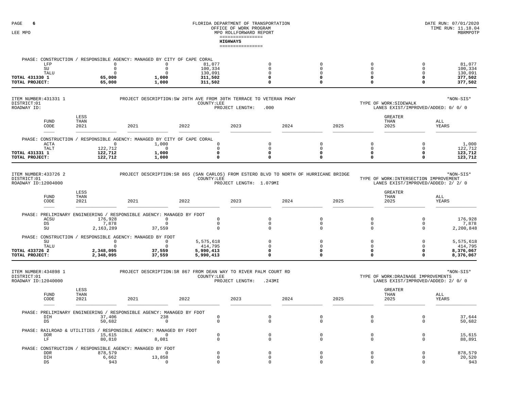| LFP<br>$\operatorname{SU}$                                  | 0<br>$\mathbf 0$          | PHASE: CONSTRUCTION / RESPONSIBLE AGENCY: MANAGED BY CITY OF CAPE CORAL<br>0<br>$\mathbb O$   | 81,077<br>100,334           | $\mathbf 0$<br>$\mathbf{0}$ | $\mathbf 0$<br>$\mathbf 0$ | $\mathsf{O}$<br>$\mathsf{O}$ | $\mathbb O$<br>$\mathbf 0$                                                 | 81,077<br>100,334      |
|-------------------------------------------------------------|---------------------------|-----------------------------------------------------------------------------------------------|-----------------------------|-----------------------------|----------------------------|------------------------------|----------------------------------------------------------------------------|------------------------|
| TALU<br>TOTAL 431330 1                                      | $\mathbf 0$<br>65,000     | $\mathbf 0$<br>1,000                                                                          | 130,091<br>311,502          | 0<br>0                      | 0<br>$\mathbf 0$           | 0<br>$\Omega$                | 0<br>$\Omega$                                                              | 130,091<br>377,502     |
| TOTAL PROJECT:                                              | 65,000                    | 1,000                                                                                         | 311,502                     | 0                           | $\Omega$                   | $\mathbf 0$                  | 0                                                                          | 377,502                |
| ITEM NUMBER: 431331 1<br>DISTRICT:01<br>ROADWAY ID:         |                           | PROJECT DESCRIPTION: SW 20TH AVE FROM 30TH TERRACE TO VETERAN PKWY                            | COUNTY:LEE                  | PROJECT LENGTH:<br>.000     |                            |                              | TYPE OF WORK: SIDEWALK<br>LANES EXIST/IMPROVED/ADDED: 0/ 0/ 0              | *NON-SIS*              |
| ${\tt FUND}$<br>CODE                                        | LESS<br>THAN<br>2021      | 2021                                                                                          | 2022                        | 2023                        | 2024                       | 2025                         | <b>GREATER</b><br>THAN<br>2025                                             | ALL<br>YEARS           |
|                                                             |                           | PHASE: CONSTRUCTION / RESPONSIBLE AGENCY: MANAGED BY CITY OF CAPE CORAL                       |                             |                             |                            |                              |                                                                            |                        |
| <b>ACTA</b><br>TALT                                         | $\circ$<br>122,712        | 1,000<br>0                                                                                    | $\Omega$<br>$\Omega$        | $\Omega$<br>$\Omega$        | $\Omega$<br>$\Omega$       | $\mathbf 0$<br>$\mathbf 0$   | $\Omega$<br>$\mathbf 0$                                                    | 1,000<br>122,712       |
| TOTAL 431331 1<br>TOTAL PROJECT:                            | 122,712<br>122,712        | 1,000<br>1,000                                                                                | 0<br>$\Omega$               | 0<br>0                      | 0<br>0                     | 0<br>0                       | $\Omega$<br>$\Omega$                                                       | 123,712<br>123,712     |
| <b>FUND</b><br>CODE                                         | LESS<br>THAN<br>2021      | 2021                                                                                          | 2022                        | 2023                        | 2024                       | 2025                         | <b>GREATER</b><br>THAN<br>2025                                             | ALL<br>YEARS           |
|                                                             |                           |                                                                                               |                             |                             |                            |                              |                                                                            |                        |
|                                                             |                           | PHASE: PRELIMINARY ENGINEERING / RESPONSIBLE AGENCY: MANAGED BY FDOT                          |                             |                             |                            |                              |                                                                            |                        |
| ACSU                                                        | 176,928                   | $\Omega$                                                                                      | $\mathbf{0}$                | $\mathbf 0$                 | $\mathbf 0$                | $\circ$                      | $\mathbf 0$                                                                | 176,928                |
| DS<br>SU                                                    | 7,878<br>2,163,289        | $\mathbf 0$<br>37,559                                                                         | $\circ$<br>$\mathbf{0}$     | $\mathbf{0}$<br>0           | $\mathbf 0$<br>$\Omega$    | $\circ$<br>0                 | $\mathbf 0$<br>0                                                           | 7,878<br>2,200,848     |
|                                                             |                           | PHASE: CONSTRUCTION / RESPONSIBLE AGENCY: MANAGED BY FDOT                                     |                             | $\Omega$                    |                            |                              |                                                                            |                        |
| SU<br>TALU                                                  | $\overline{0}$<br>$\circ$ | $\circ$<br>$\mathbf 0$                                                                        | 5,575,618<br>414,795        | $\Omega$                    | $\Omega$<br>$\Omega$       | $\circ$<br>$\mathbf 0$       | $\mathbf 0$<br>$\mathbf 0$                                                 | 5,575,618<br>414,795   |
| TOTAL 433726 2<br>TOTAL PROJECT:                            | 2,348,095<br>2,348,095    | 37,559<br>37,559                                                                              | 5,990,413<br>5,990,413      | $\Omega$<br>0               | $\Omega$<br>$\Omega$       | $\mathbf 0$<br>$\mathbf 0$   | $\Omega$<br>$\Omega$                                                       | 8,376,067<br>8,376,067 |
| ITEM NUMBER: 434898 1<br>DISTRICT:01<br>ROADWAY ID:12040000 |                           | PROJECT DESCRIPTION: SR 867 FROM DEAN WAY TO RIVER PALM COURT RD                              | COUNTY:LEE                  | PROJECT LENGTH:<br>.243MI   |                            |                              | TYPE OF WORK: DRAINAGE IMPROVEMENTS<br>LANES EXIST/IMPROVED/ADDED: 2/ 0/ 0 | *NON-SIS*              |
| <b>FUND</b><br>CODE                                         | LESS<br>THAN<br>2021      | 2021                                                                                          | 2022                        | 2023                        | 2024                       | 2025                         | <b>GREATER</b><br>THAN<br>2025                                             | ALL<br>YEARS           |
| DIH<br>DS                                                   | 37,406<br>50,682          | PHASE: PRELIMINARY ENGINEERING / RESPONSIBLE AGENCY: MANAGED BY FDOT<br>238<br>$\overline{0}$ | $\mathbb O$<br>$\mathbf{0}$ | $\mathbf 0$<br>$\mathbf{0}$ | $\mathbb O$<br>$\mathbf 0$ | $\mathsf{O}$<br>$\mathsf{O}$ | $\mathbb O$<br>$\mathbf 0$                                                 | 37,644<br>50,682       |
|                                                             |                           | PHASE: RAILROAD & UTILITIES / RESPONSIBLE AGENCY: MANAGED BY FDOT                             |                             |                             |                            |                              |                                                                            |                        |
| <b>DDR</b><br>LF                                            | 15,615<br>80,810          | $\overline{0}$<br>8,081                                                                       | $\mathbf{0}$<br>$\Omega$    | $\mathbf{0}$<br>$\Omega$    | $\mathbf 0$<br>$\Omega$    | $\mathbf 0$<br>$\Omega$      | $\mathbf 0$<br>$\Omega$                                                    | 15,615<br>88,891       |
|                                                             |                           | PHASE: CONSTRUCTION / RESPONSIBLE AGENCY: MANAGED BY FDOT<br>$\Omega$                         | $\Omega$                    | 0                           | $\Omega$                   |                              | $\Omega$                                                                   | 878,579                |
| <b>DDR</b><br>DIH                                           | 878,579<br>6,662          | 13,858                                                                                        | 0                           | 0                           | $\Omega$                   | $\mathbf 0$<br>$\mathbf 0$   | $\Omega$                                                                   | 20,520                 |
| DS                                                          | 943                       | $\mathbf 0$                                                                                   | $\Omega$                    | $\Omega$                    | $\Omega$                   | $\Omega$                     | $\Omega$                                                                   | 943                    |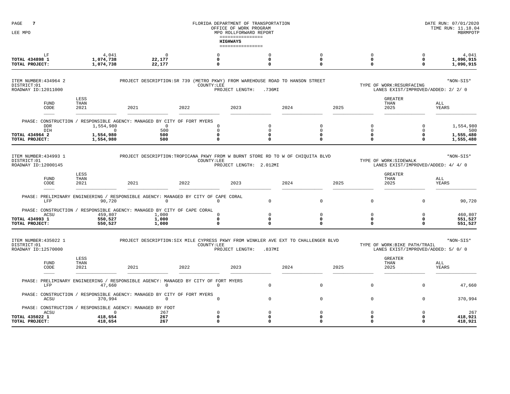| $7\phantom{.0}$<br>PAGE<br>LEE MPO                                           |                                                     |                                                                                                    |                                                 | FLORIDA DEPARTMENT OF TRANSPORTATION<br>OFFICE OF WORK PROGRAM<br>MPO ROLLFORWARD REPORT |                                             |      |                                                    |                                     |                                                                     | DATE RUN: 07/01/2020<br>TIME RUN: 11.18.04<br>MBRMPOTF |
|------------------------------------------------------------------------------|-----------------------------------------------------|----------------------------------------------------------------------------------------------------|-------------------------------------------------|------------------------------------------------------------------------------------------|---------------------------------------------|------|----------------------------------------------------|-------------------------------------|---------------------------------------------------------------------|--------------------------------------------------------|
|                                                                              |                                                     |                                                                                                    |                                                 | ----------------<br><b>HIGHWAYS</b><br>================                                  |                                             |      |                                                    |                                     |                                                                     |                                                        |
| LF<br>TOTAL 434898 1<br>TOTAL PROJECT:                                       | 4,041<br>1,074,738<br>1,074,738                     | $\mathbf 0$<br>22,177<br>22,177                                                                    | $\Omega$<br>0<br>0                              |                                                                                          | $\circ$<br>$\mathbf 0$<br>0                 |      | $\mathbf 0$<br>$\mathbf 0$<br>$\Omega$             | $\circ$<br>$\mathbf 0$<br>$\Omega$  | $\Omega$<br>$\mathbf 0$<br>0                                        | 4,041<br>1,096,915<br>1,096,915                        |
| ITEM NUMBER: 434964 2<br>DISTRICT:01<br>ROADWAY ID:12011000                  |                                                     | PROJECT DESCRIPTION: SR 739 (METRO PKWY) FROM WAREHOUSE ROAD TO HANSON STREET                      | COUNTY:LEE                                      | PROJECT LENGTH:                                                                          | .736MI                                      |      |                                                    |                                     | TYPE OF WORK:RESURFACING<br>LANES EXIST/IMPROVED/ADDED: 2/ 2/ 0     | *NON-SIS*                                              |
| <b>FUND</b><br>CODE                                                          | LESS<br>THAN<br>2021                                | 2021                                                                                               | 2022                                            | 2023                                                                                     |                                             | 2024 | 2025                                               |                                     | <b>GREATER</b><br>THAN<br>2025                                      | ALL<br>YEARS                                           |
| PHASE: CONSTRUCTION<br><b>DDR</b><br>DIH<br>TOTAL 434964 2<br>TOTAL PROJECT: | 1,554,980<br>$\mathbf{0}$<br>1,554,980<br>1,554,980 | / RESPONSIBLE AGENCY: MANAGED BY CITY OF FORT MYERS<br>$\mathbf 0$<br>500<br>500<br>500            | $\Omega$<br>$\mathbf 0$<br>$\Omega$<br>$\Omega$ |                                                                                          | $\mathbf 0$<br>$\mathbf 0$<br>0<br>$\Omega$ |      | $\mathbf 0$<br>$\mathbb O$<br>$\Omega$<br>$\Omega$ | $\Omega$<br>0<br>0<br>$\Omega$      | $\Omega$<br>0<br>0<br>0                                             | 1,554,980<br>500<br>1,555,480<br>1,555,480             |
| ITEM NUMBER: 434993 1<br>DISTRICT:01<br>ROADWAY ID:12000145                  |                                                     | PROJECT DESCRIPTION: TROPICANA PKWY FROM W BURNT STORE RD TO W OF CHIOUITA BLVD                    | COUNTY:LEE                                      | PROJECT LENGTH: 2.012MI                                                                  |                                             |      |                                                    |                                     | TYPE OF WORK: SIDEWALK<br>LANES EXIST/IMPROVED/ADDED: 4/ 4/ 0       | *NON-SIS*                                              |
| <b>FUND</b><br>CODE                                                          | LESS<br>THAN<br>2021                                | 2021                                                                                               | 2022                                            | 2023                                                                                     |                                             | 2024 | 2025                                               |                                     | <b>GREATER</b><br>THAN<br>2025                                      | ALL<br>YEARS                                           |
| LFP                                                                          | 90,720                                              | PHASE: PRELIMINARY ENGINEERING / RESPONSIBLE AGENCY: MANAGED BY CITY OF CAPE CORAL<br>$\Omega$     | $\mathbf 0$                                     |                                                                                          | $\mathbf 0$                                 |      | $\mathbf 0$                                        | $\mathbf 0$                         | $\Omega$                                                            | 90,720                                                 |
| ACSU<br>TOTAL 434993 1<br>TOTAL PROJECT:                                     | 459,807<br>550,527<br>550,527                       | PHASE: CONSTRUCTION / RESPONSIBLE AGENCY: MANAGED BY CITY OF CAPE CORAL<br>1,000<br>1,000<br>1,000 | $\mathbf 0$<br>$\mathbf 0$<br>$\Omega$          |                                                                                          | $\mathsf{O}$<br>0<br>0                      |      | $\mathbb O$<br>0<br>$\mathbf 0$                    | 0<br>0<br>$\Omega$                  | 0<br>$\mathbf 0$<br>$\mathbf{o}$                                    | 460,807<br>551,527<br>551,527                          |
| ITEM NUMBER: 435022 1<br>DISTRICT:01<br>ROADWAY ID:12570000                  |                                                     | PROJECT DESCRIPTION: SIX MILE CYPRESS PKWY FROM WINKLER AVE EXT TO CHALLENGER BLVD                 | COUNTY:LEE                                      | PROJECT LENGTH:                                                                          | .837MI                                      |      |                                                    |                                     | TYPE OF WORK:BIKE PATH/TRAIL<br>LANES EXIST/IMPROVED/ADDED: 5/ 0/ 0 | *NON-SIS*                                              |
| FUND<br>CODE                                                                 | LESS<br>THAN<br>2021                                | 2021                                                                                               | 2022                                            | 2023                                                                                     |                                             | 2024 | 2025                                               |                                     | <b>GREATER</b><br>THAN<br>2025                                      | ALL<br>YEARS                                           |
| LFP                                                                          | 47,660                                              | PHASE: PRELIMINARY ENGINEERING / RESPONSIBLE AGENCY: MANAGED BY CITY OF FORT MYERS<br>$\mathbf 0$  | $\circ$                                         |                                                                                          | $\mathbf 0$                                 |      | $\mathbf 0$                                        | $\Omega$                            | $\Omega$                                                            | 47,660                                                 |
| ACSU                                                                         | 370,994                                             | PHASE: CONSTRUCTION / RESPONSIBLE AGENCY: MANAGED BY CITY OF FORT MYERS<br>$\mathbf 0$             | $\mathbf 0$                                     |                                                                                          | $\mathsf{O}$                                |      | $\mathbf 0$                                        | $\mathsf{O}\xspace$                 | $\mathbf 0$                                                         | 370,994                                                |
| ACSU<br>TOTAL 435022 1<br>TOTAL PROJECT:                                     | $\Omega$<br>418,654<br>418,654                      | PHASE: CONSTRUCTION / RESPONSIBLE AGENCY: MANAGED BY FDOT<br>267<br>267<br>267                     | $\mathbf 0$<br>0<br>$\mathbf 0$                 |                                                                                          | $\circ$<br>0<br>0                           |      | $\mathbf 0$<br>$\Omega$<br>$\Omega$                | $\mathbf 0$<br>$\Omega$<br>$\Omega$ | $\Omega$<br>0<br>0                                                  | 267<br>418,921<br>418,921                              |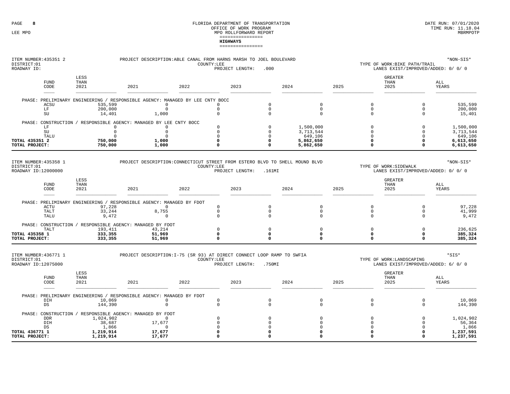| ITEM NUMBER: 435351 2<br>DISTRICT:01<br>ROADWAY ID:         |                              | PROJECT DESCRIPTION: ABLE CANAL FROM HARNS MARSH TO JOEL BOULEVARD            |                                           | *NON-SIS*<br>TYPE OF WORK:BIKE PATH/TRAIL<br>LANES EXIST/IMPROVED/ADDED: 0/ 0/ 0 |                                           |                                                                              |      |                                        |                                                               |                                                |
|-------------------------------------------------------------|------------------------------|-------------------------------------------------------------------------------|-------------------------------------------|----------------------------------------------------------------------------------|-------------------------------------------|------------------------------------------------------------------------------|------|----------------------------------------|---------------------------------------------------------------|------------------------------------------------|
| <b>FUND</b><br>CODE                                         | LESS<br>THAN<br>2021         | 2021                                                                          | 2022                                      | 2023                                                                             |                                           | 2024                                                                         | 2025 |                                        | <b>GREATER</b><br>THAN<br>2025                                | ALL<br>YEARS                                   |
|                                                             |                              | PHASE: PRELIMINARY ENGINEERING / RESPONSIBLE AGENCY: MANAGED BY LEE CNTY BOCC |                                           |                                                                                  |                                           |                                                                              |      |                                        |                                                               |                                                |
| ACSU<br>LF<br>$\mathrm{SU}$                                 | 535,599<br>200,000<br>14,401 | 1,000                                                                         | $\Omega$<br>$\mathbf 0$                   | $\Omega$<br>$\mathbf 0$<br>$\mathbf 0$                                           | $\Omega$<br>$\mathsf 0$<br>$\mathbf 0$    | $\mathbf 0$<br>$\mathbb O$<br>$\mathbf 0$                                    |      | $\Omega$<br>$\mathsf 0$<br>$\mathbf 0$ | $\Omega$<br>$\mathbf 0$<br>$\Omega$                           | 535,599<br>200,000<br>15,401                   |
|                                                             |                              | PHASE: CONSTRUCTION / RESPONSIBLE AGENCY: MANAGED BY LEE CNTY BOCC            |                                           |                                                                                  | $\Omega$                                  |                                                                              |      | $\Omega$                               | $\Omega$                                                      |                                                |
| LF<br>$\operatorname{SU}$<br>TALU<br>TOTAL 435351 2         | 750,000                      | $\circ$<br>$\mathsf 0$<br>$\mathbf 0$<br>1,000                                | $\mathbf 0$<br>$\mathbf 0$<br>$\mathbf 0$ | $\Omega$<br>$\Omega$<br>$\Omega$<br>$\Omega$                                     | $\Omega$<br>$\Omega$<br>0                 | 1,500,000<br>3,713,544<br>649,106<br>5,862,650                               |      | $\Omega$<br>$\Omega$<br>$\Omega$       | $\Omega$<br>$\Omega$<br>0                                     | 1,500,000<br>3,713,544<br>649,106<br>6,613,650 |
| TOTAL PROJECT:                                              | 750,000                      | 1,000                                                                         |                                           | $\Omega$                                                                         | $\Omega$                                  | 5,862,650                                                                    |      | $\Omega$                               | 0                                                             | 6,613,650                                      |
| ITEM NUMBER: 435358 1<br>DISTRICT:01<br>ROADWAY ID:12000000 |                              |                                                                               |                                           | COUNTY:LEE                                                                       | PROJECT LENGTH: .161MI                    | PROJECT DESCRIPTION: CONNECTICUT STREET FROM ESTERO BLVD TO SHELL MOUND BLVD |      |                                        | TYPE OF WORK: SIDEWALK<br>LANES EXIST/IMPROVED/ADDED: 0/ 0/ 0 | $*$ NON-SIS $*$                                |
| <b>FUND</b><br>CODE                                         | LESS<br>THAN<br>2021         | 2021                                                                          | 2022                                      | 2023                                                                             |                                           | 2024                                                                         | 2025 |                                        | <b>GREATER</b><br>THAN<br>2025                                | ALL<br>YEARS                                   |
|                                                             |                              | PHASE: PRELIMINARY ENGINEERING / RESPONSIBLE AGENCY: MANAGED BY FDOT          |                                           |                                                                                  |                                           |                                                                              |      |                                        |                                                               |                                                |
| ACTU<br>TALT<br>TALU                                        | 97,228<br>33,244<br>9,472    | 8,755                                                                         | $\mathbf 0$<br>$\mathbf 0$                | $\Omega$<br>$\mathbf 0$<br>$\Omega$                                              | $\mathbf 0$<br>$\mathbf 0$<br>$\mathbf 0$ | $\mathbf 0$<br>$\mathbf 0$<br>$\mathbf 0$                                    |      | 0<br>$\mathbf 0$<br>$\mathbf 0$        | $\Omega$<br>$\Omega$<br>$\mathbf 0$                           | 97,228<br>41,999<br>9,472                      |
|                                                             | 193,411                      | PHASE: CONSTRUCTION / RESPONSIBLE AGENCY: MANAGED BY FDOT<br>43,214           |                                           | $\Omega$                                                                         | $\mathbf 0$                               | $\mathbf 0$                                                                  |      | $\Omega$                               | $\Omega$                                                      | 236,625                                        |
| TALT<br>TOTAL 435358 1<br>TOTAL PROJECT:                    | 333,355<br>333,355           | 51,969<br>51,969                                                              |                                           | 0<br>$\Omega$                                                                    | $\mathbf 0$<br>$\Omega$                   | $\mathbf 0$<br>$\mathbf 0$                                                   |      | $\Omega$<br>$\Omega$                   | 0<br>0                                                        | 385,324<br>385,324                             |
| ITEM NUMBER: 436771 1<br>DISTRICT:01                        |                              | PROJECT DESCRIPTION: I-75 (SR 93) AT DIRECT CONNECT LOOP RAMP TO SWFIA        |                                           | COUNTY:LEE                                                                       |                                           |                                                                              |      |                                        | TYPE OF WORK:LANDSCAPING                                      | *SIS*                                          |
| ROADWAY ID:12075000                                         |                              |                                                                               |                                           | PROJECT LENGTH:                                                                  | .750MI                                    |                                                                              |      |                                        | LANES EXIST/IMPROVED/ADDED: 6/ 0/ 0                           |                                                |
| <b>FUND</b><br>CODE                                         | LESS<br>THAN<br>2021         | 2021                                                                          | 2022                                      | 2023                                                                             |                                           | 2024                                                                         | 2025 |                                        | <b>GREATER</b><br>THAN<br>2025                                | ALL<br>YEARS                                   |
|                                                             |                              | PHASE: PRELIMINARY ENGINEERING / RESPONSIBLE AGENCY: MANAGED BY FDOT          |                                           |                                                                                  |                                           |                                                                              |      |                                        |                                                               |                                                |
| DIH<br>DS                                                   | 10,069<br>144,390            |                                                                               | $\mathbf 0$<br>$\Omega$                   | $\mathbb O$<br>$\mathbf{0}$                                                      | $\mathsf 0$<br>$\mathbf 0$                | $\mathbb O$<br>$\mathbf 0$                                                   |      | $\mathsf 0$<br>$\mathbf 0$             | $\mathbf 0$<br>$\mathbf 0$                                    | 10,069<br>144,390                              |
| <b>DDR</b>                                                  | 1,024,902                    | PHASE: CONSTRUCTION / RESPONSIBLE AGENCY: MANAGED BY FDOT                     | $\circ$                                   | $\Omega$                                                                         | $\Omega$                                  | $\Omega$                                                                     |      | $\Omega$                               | $\Omega$                                                      | 1,024,902                                      |
| DIH<br>DS                                                   | 38,687<br>1,866              | 17,677                                                                        | $\cap$                                    | $\mathbf 0$<br>$\mathbf 0$                                                       | $\Omega$<br>$\Omega$                      | $\Omega$<br>$\Omega$                                                         |      | $\Omega$<br>$\Omega$                   | $\Omega$<br>$\Omega$                                          | 56,364<br>1,866                                |
| TOTAL 436771 1<br>TOTAL PROJECT:                            | 1,219,914<br>1,219,914       | 17,677<br>17,677                                                              |                                           | $\mathbf 0$<br>$\Omega$                                                          | $\Omega$<br>$\mathbf 0$                   | 0<br>0                                                                       |      | $\Omega$                               | O<br>0                                                        | 1,237,591<br>1,237,591                         |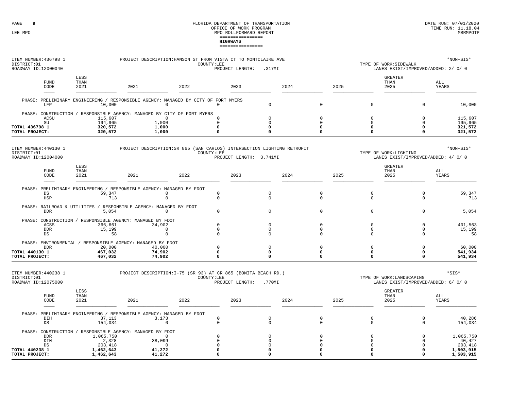| ITEM NUMBER: 436798 1<br>DISTRICT:01<br>ROADWAY ID:12000040 |                             |                      |                               | PROJECT DESCRIPTION: HANSON ST FROM VISTA CT TO MONTCLAIRE AVE                                |      | COUNTY:LEE                             | PROJECT LENGTH:         | .317MI                              |      |                                 |      |                                           | TYPE OF WORK: SIDEWALK<br>LANES EXIST/IMPROVED/ADDED: 2/ 0/ 0   | *NON-SIS*                     |
|-------------------------------------------------------------|-----------------------------|----------------------|-------------------------------|-----------------------------------------------------------------------------------------------|------|----------------------------------------|-------------------------|-------------------------------------|------|---------------------------------|------|-------------------------------------------|-----------------------------------------------------------------|-------------------------------|
|                                                             | <b>FUND</b><br>CODE         | LESS<br>THAN<br>2021 |                               | 2021                                                                                          | 2022 |                                        | 2023                    |                                     | 2024 |                                 | 2025 |                                           | <b>GREATER</b><br>THAN<br>2025                                  | ALL<br>YEARS                  |
|                                                             | LFP                         |                      | 10,000                        | PHASE: PRELIMINARY ENGINEERING / RESPONSIBLE AGENCY: MANAGED BY CITY OF FORT MYERS<br>$\circ$ |      | $\mathbf 0$                            |                         | $\Omega$                            |      | $\mathbf 0$                     |      | $\mathbf 0$                               | $\mathbf 0$                                                     | 10,000                        |
|                                                             |                             |                      |                               | PHASE: CONSTRUCTION / RESPONSIBLE AGENCY: MANAGED BY CITY OF FORT MYERS                       |      |                                        |                         |                                     |      |                                 |      |                                           |                                                                 |                               |
| TOTAL 436798 1                                              | ACSU<br>$\operatorname{SU}$ |                      | 115,607<br>194,965<br>320,572 | $\Omega$<br>1,000<br>1,000                                                                    |      | $\Omega$<br>$\mathbf 0$<br>$\mathbf 0$ |                         | $\Omega$<br>$\mathbf 0$<br>$\Omega$ |      | $\mathbf 0$<br>$\mathbf 0$<br>0 |      | $\mathbf 0$<br>$\mathbf 0$<br>$\Omega$    | $\mathbf 0$<br>$\Omega$<br>$\Omega$                             | 115,607<br>195,965<br>321,572 |
| TOTAL PROJECT:                                              |                             |                      | 320,572                       | 1,000                                                                                         |      | $\mathbf 0$                            |                         | $\Omega$                            |      | $\mathbf 0$                     |      | $\Omega$                                  | $\Omega$                                                        | 321,572                       |
| DISTRICT:01<br>ROADWAY ID:12004000                          | ITEM NUMBER: 440130 1       |                      |                               | PROJECT DESCRIPTION: SR 865 (SAN CARLOS) INTERSECTION LIGHTING RETROFIT                       |      | COUNTY:LEE                             | PROJECT LENGTH: 3.741MI |                                     |      |                                 |      |                                           | TYPE OF WORK:LIGHTING<br>LANES EXIST/IMPROVED/ADDED: 4/ 0/ 0    | *NON-SIS*                     |
|                                                             | FUND<br>CODE                | LESS<br>THAN<br>2021 |                               | 2021                                                                                          | 2022 |                                        | 2023                    |                                     | 2024 |                                 | 2025 |                                           | <b>GREATER</b><br>THAN<br>2025                                  | ALL<br>YEARS                  |
|                                                             |                             |                      |                               | PHASE: PRELIMINARY ENGINEERING / RESPONSIBLE AGENCY: MANAGED BY FDOT                          |      |                                        |                         |                                     |      |                                 |      |                                           |                                                                 |                               |
|                                                             | DS<br>HSP                   |                      | 59,347<br>713                 | $\Omega$<br>$\mathbf 0$                                                                       |      | $\mathbf 0$<br>$\mathbf 0$             |                         | $\mathbf 0$<br>$\Omega$             |      | 0<br>$\mathbf 0$                |      | $\mathbf 0$<br>$\mathbf 0$                | $\mathbf 0$<br>$\mathbf 0$                                      | 59,347<br>713                 |
|                                                             | <b>DDR</b>                  |                      | 5,054                         | PHASE: RAILROAD & UTILITIES / RESPONSIBLE AGENCY: MANAGED BY FDOT<br>$\mathbf 0$              |      | $\mathbf 0$                            |                         | $\Omega$                            |      | $\mathsf 0$                     |      | $\mathsf 0$                               | $\mathbf 0$                                                     | 5,054                         |
|                                                             |                             |                      |                               | PHASE: CONSTRUCTION / RESPONSIBLE AGENCY: MANAGED BY FDOT                                     |      |                                        |                         |                                     |      |                                 |      |                                           |                                                                 |                               |
|                                                             | ACSS<br><b>DDR</b>          |                      | 366,661<br>15,199             | 34,902<br>$^{\circ}$                                                                          |      | $\Omega$<br>$\mathbf 0$                |                         | $\mathsf 0$<br>$\Omega$             |      | 0<br>0                          |      | $\mathsf 0$<br>$\mathbf{0}$               | $\Omega$<br>$^{\circ}$                                          | 401,563<br>15,199             |
|                                                             | DS                          |                      | 58                            | $\mathbf 0$<br>PHASE: ENVIRONMENTAL / RESPONSIBLE AGENCY: MANAGED BY FDOT                     |      | $\Omega$                               |                         | $\Omega$                            |      | $\mathbf 0$                     |      | $\mathbf 0$                               | $\Omega$                                                        | 58                            |
| TOTAL 440130 1<br>TOTAL PROJECT:                            | <b>DDR</b>                  |                      | 20,000<br>467,032<br>467,032  | 40,000<br>74,902<br>74,902                                                                    |      | $\mathbf 0$<br>0<br>$\mathbf 0$        |                         | $\mathbf 0$<br>$\mathbf 0$<br>0     |      | $\mathbf 0$<br>0<br>0           |      | $\mathbf 0$<br>$\mathbf 0$<br>$\mathbf 0$ | $\mathbf 0$<br>0<br>0                                           | 60,000<br>541,934<br>541,934  |
|                                                             |                             |                      |                               |                                                                                               |      |                                        |                         |                                     |      |                                 |      |                                           |                                                                 |                               |
| ITEM NUMBER: 440238 1<br>DISTRICT:01<br>ROADWAY ID:12075000 |                             |                      |                               | PROJECT DESCRIPTION: I-75 (SR 93) AT CR 865 (BONITA BEACH RD.)                                |      | COUNTY:LEE                             | PROJECT LENGTH:         | .770MI                              |      |                                 |      |                                           | TYPE OF WORK:LANDSCAPING<br>LANES EXIST/IMPROVED/ADDED: 6/ 0/ 0 | *SIS*                         |
|                                                             | <b>FUND</b><br>CODE         | LESS<br>THAN<br>2021 |                               | 2021                                                                                          | 2022 |                                        | 2023                    |                                     | 2024 |                                 | 2025 |                                           | <b>GREATER</b><br>THAN<br>2025                                  | ALL<br>YEARS                  |
|                                                             |                             |                      |                               | PHASE: PRELIMINARY ENGINEERING / RESPONSIBLE AGENCY: MANAGED BY FDOT                          |      |                                        |                         |                                     |      |                                 |      |                                           |                                                                 |                               |
|                                                             | DIH<br>DS                   |                      | 37,113<br>154,034             | 3,173<br>$\mathbf 0$                                                                          |      | $\mathbf 0$<br>$\mathbf 0$             |                         | $\mathbf 0$<br>$\Omega$             |      | 0<br>$\mathbf 0$                |      | $\mathbf 0$<br>$\mathbf 0$                | $\mathbf 0$<br>$\mathbf 0$                                      | 40,286<br>154,034             |
|                                                             |                             |                      |                               | PHASE: CONSTRUCTION / RESPONSIBLE AGENCY: MANAGED BY FDOT<br>$\Omega$                         |      | $\Omega$                               |                         | $\Omega$                            |      | $\Omega$                        |      | $\mathbf 0$                               | $\Omega$                                                        | 1,065,750                     |
|                                                             | <b>DDR</b><br>DIH<br>DS     |                      | 1,065,750<br>2,328<br>203,418 | 38,099<br>$^{\circ}$                                                                          |      | $\mathbf 0$<br>0                       |                         | $\Omega$<br>$\Omega$                |      | $\mathbf 0$<br>$\Omega$         |      | $\Omega$<br>$\Omega$                      | $\Omega$                                                        | 40,427<br>203,418             |
| TOTAL 440238 1<br>TOTAL PROJECT:                            |                             |                      | 1,462,643<br>1,462,643        | 41,272<br>41,272                                                                              |      | 0<br>$\mathbf{0}$                      |                         | $\Omega$<br>$\Omega$                |      | $\Omega$<br>U                   |      | $\Omega$<br>$\Omega$                      | $\Omega$<br>$\Omega$                                            | 1,503,915<br>1,503,915        |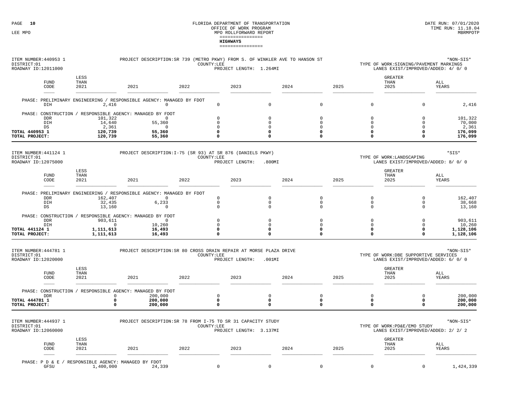#### FLORIDA DEPARTMENT OF TRANSPORTATION DATE RUN: 07/01/2020 OFFICE OF WORK PROGRAM TIME RUN: 11.18.04LEE MPO  $\,$  MPO ROLLFORWARD REPORT  $\,$ ================**HIGHWAYS**================

| ITEM NUMBER: 440953 1<br>DISTRICT:01<br>ROADWAY ID:12011000          |                                                  | PROJECT DESCRIPTION: SR 739 (METRO PKWY) FROM S. OF WINKLER AVE TO HANSON ST                                      |      | COUNTY:LEE                                   | PROJECT LENGTH: 1.264MI |                                                             |      |                                                            |      |                                   | TYPE OF WORK: SIGNING / PAVEMENT MARKINGS<br>LANES EXIST/IMPROVED/ADDED: 4/ 0/ 0 | *NON-SIS*                                        |
|----------------------------------------------------------------------|--------------------------------------------------|-------------------------------------------------------------------------------------------------------------------|------|----------------------------------------------|-------------------------|-------------------------------------------------------------|------|------------------------------------------------------------|------|-----------------------------------|----------------------------------------------------------------------------------|--------------------------------------------------|
| <b>FUND</b><br>CODE                                                  | LESS<br>THAN<br>2021                             | 2021                                                                                                              | 2022 |                                              | 2023                    |                                                             | 2024 |                                                            | 2025 |                                   | <b>GREATER</b><br>THAN<br>2025                                                   | ALL<br>YEARS                                     |
| DIH                                                                  | 2,416                                            | PHASE: PRELIMINARY ENGINEERING / RESPONSIBLE AGENCY: MANAGED BY FDOT<br>$\mathbf 0$                               |      | $\mathbf 0$                                  |                         | $\mathbf 0$                                                 |      | $\Omega$                                                   |      | $\Omega$                          | $\Omega$                                                                         | 2,416                                            |
| <b>DDR</b><br>DIH<br>$_{\rm DS}$<br>TOTAL 440953 1<br>TOTAL PROJECT: | 101,322<br>14,640<br>2,361<br>120,739<br>120,739 | PHASE: CONSTRUCTION / RESPONSIBLE AGENCY: MANAGED BY FDOT<br>$\Omega$<br>55,360<br>$^{\circ}$<br>55,360<br>55,360 |      | $\mathbf 0$<br>0<br>0<br>0<br>0              |                         | $\Omega$<br>$\mathsf 0$<br>0<br>$\mathbf{o}$<br>$\mathbf 0$ |      | $\Omega$<br>$\mathbf 0$<br>0<br>$\mathbf 0$<br>$\mathbf 0$ |      | $\Omega$<br>0<br>0<br>0<br>0      | $\Omega$<br>$\mathbf 0$<br>$\mathbf 0$<br>$\mathbf 0$<br>$\mathbf 0$             | 101,322<br>70,000<br>2,361<br>176,099<br>176,099 |
| ITEM NUMBER: 441124 1<br>DISTRICT:01<br>ROADWAY ID:12075000          |                                                  | PROJECT DESCRIPTION: I-75 (SR 93) AT SR 876 (DANIELS PKWY)                                                        |      | COUNTY:LEE                                   | PROJECT LENGTH:         | .800MI                                                      |      |                                                            |      |                                   | TYPE OF WORK:LANDSCAPING<br>LANES EXIST/IMPROVED/ADDED: 8/ 0/ 0                  | *SIS*                                            |
| <b>FUND</b><br>CODE                                                  | LESS<br>THAN<br>2021                             | 2021                                                                                                              | 2022 |                                              | 2023                    |                                                             | 2024 |                                                            | 2025 |                                   | <b>GREATER</b><br>THAN<br>2025                                                   | ALL<br>YEARS                                     |
| <b>DDR</b><br>DIH<br>DS                                              | 162,407<br>32,435<br>13,160                      | PHASE: PRELIMINARY ENGINEERING / RESPONSIBLE AGENCY: MANAGED BY FDOT<br>$^{\circ}$<br>6,233<br>$\mathbf 0$        |      | $\mathbf 0$<br>$\mathsf 0$<br>$\mathsf 0$    |                         | $\mathsf 0$<br>$\mathbb O$<br>$\mathbf 0$                   |      | $\mathbf 0$<br>$\mathbf 0$<br>$\mathbf 0$                  |      | $\Omega$<br>0<br>0                | $\mathbf 0$<br>$\mathbf 0$<br>$\mathbf 0$                                        | 162,407<br>38,668<br>13,160                      |
| <b>DDR</b><br>DIH<br>TOTAL 441124 1<br>TOTAL PROJECT:                | 903,611<br>$\Omega$<br>1,111,613<br>1,111,613    | PHASE: CONSTRUCTION / RESPONSIBLE AGENCY: MANAGED BY FDOT<br>$\mathbf 0$<br>10,260<br>16,493<br>16,493            |      | $\mathbf 0$<br>$\mathsf{O}\xspace$<br>0<br>0 |                         | $\Omega$<br>$\mathsf 0$<br>$\mathbf 0$<br>$\Omega$          |      | $\Omega$<br>$\mathbb O$<br>$\mathbf 0$<br>$\Omega$         |      | $\Omega$<br>$\mathbf 0$<br>0<br>0 | $\Omega$<br>$\mathbf 0$<br>$\mathbf 0$<br>$\mathbf 0$                            | 903,611<br>10,260<br>1,128,106<br>1,128,106      |
| ITEM NUMBER: 444781 1<br>DISTRICT:01<br>ROADWAY ID:12020000          |                                                  | PROJECT DESCRIPTION: SR 80 CROSS DRAIN REPAIR AT MORSE PLAZA DRIVE                                                |      | COUNTY:LEE                                   | PROJECT LENGTH:         | .001MI                                                      |      |                                                            |      |                                   | TYPE OF WORK:DBE SUPPORTIVE SERVICES<br>LANES EXIST/IMPROVED/ADDED: 6/ 0/ 0      | *NON-SIS*                                        |
| FUND<br>CODE                                                         | LESS<br>THAN<br>2021                             | 2021                                                                                                              | 2022 |                                              | 2023                    |                                                             | 2024 |                                                            | 2025 |                                   | <b>GREATER</b><br>THAN<br>2025                                                   | ALL<br>YEARS                                     |
| <b>DDR</b><br><b>TOTAL 444781 1</b><br>TOTAL PROJECT:                | $\circ$<br>0<br>$\Omega$                         | PHASE: CONSTRUCTION / RESPONSIBLE AGENCY: MANAGED BY FDOT<br>200,000<br>200,000<br>200,000                        |      | $\mathsf{O}\xspace$<br>0<br>0                |                         | $\mathsf 0$<br>$\mathbf{o}$<br>$\Omega$                     |      | $\mathbb O$<br>$\mathbf 0$<br>$\mathbf 0$                  |      | $\Omega$<br>0<br>0                | $\mathbf 0$<br>$\mathbf 0$<br>$\mathbf 0$                                        | 200,000<br>200,000<br>200,000                    |
| ITEM NUMBER: 444937 1<br>DISTRICT:01<br>ROADWAY ID:12060000          |                                                  | PROJECT DESCRIPTION: SR 78 FROM I-75 TO SR 31 CAPACITY STUDY                                                      |      | COUNTY:LEE                                   | PROJECT LENGTH: 3.137MI |                                                             |      |                                                            |      |                                   | TYPE OF WORK:PD&E/EMO STUDY<br>LANES EXIST/IMPROVED/ADDED: 2/ 2/ 2               | *NON-SIS*                                        |
| <b>FUND</b><br>CODE                                                  | LESS<br>THAN<br>2021                             | 2021                                                                                                              | 2022 |                                              | 2023                    |                                                             | 2024 |                                                            | 2025 |                                   | <b>GREATER</b><br>THAN<br>2025                                                   | ALL<br>YEARS                                     |

PHASE: P D & E / RESPONSIBLE AGENCY: MANAGED BY FDOTGFSU 1,400,000 24,

 $1,424,339$  0 0 0 0 0  $1,424,339$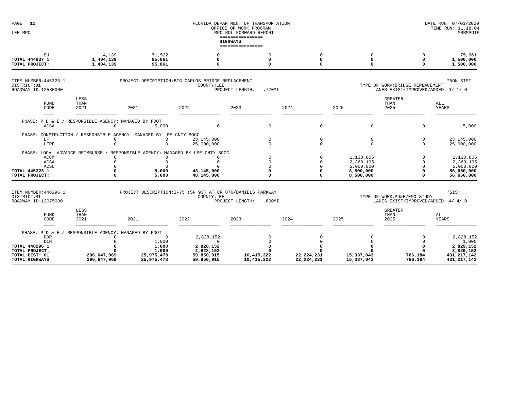| PAGE<br>11<br>LEE MPO                                                                                           |                                                                                           |                                                                                                    | FLORIDA DEPARTMENT OF TRANSPORTATION<br>OFFICE OF WORK PROGRAM              | DATE RUN: 07/01/2020<br>TIME RUN: 11.18.04<br>MBRMPOTP                            |                                              |                                                               |                                                                         |                                                                              |
|-----------------------------------------------------------------------------------------------------------------|-------------------------------------------------------------------------------------------|----------------------------------------------------------------------------------------------------|-----------------------------------------------------------------------------|-----------------------------------------------------------------------------------|----------------------------------------------|---------------------------------------------------------------|-------------------------------------------------------------------------|------------------------------------------------------------------------------|
|                                                                                                                 |                                                                                           |                                                                                                    |                                                                             | MPO ROLLFORWARD REPORT<br>================<br><b>HIGHWAYS</b><br>---------------- |                                              |                                                               |                                                                         |                                                                              |
| $\mathrm{SU}$<br>TOTAL 444937 1<br>TOTAL PROJECT:                                                               | 4,139<br>1,404,139<br>1,404,139                                                           | 71,522<br>95,861<br>95,861                                                                         | 0<br>$\Omega$                                                               | $\Omega$<br>$\Omega$<br>O                                                         | 0<br>0<br>$\Omega$                           | $\mathsf 0$<br>$\mathbf{o}$<br>$\Omega$                       | $\Omega$<br>$\Omega$<br>$\Omega$                                        | 75,661<br>1,500,000<br>1,500,000                                             |
| ITEM NUMBER: 445323 1<br>DISTRICT:01<br>ROADWAY ID:12530000                                                     |                                                                                           | PROJECT DESCRIPTION: BIG CARLOS BRIDGE REPLACEMENT                                                 | COUNTY:LEE                                                                  | .770MI<br>PROJECT LENGTH:                                                         |                                              |                                                               | TYPE OF WORK: BRIDGE REPLACEMENT<br>LANES EXIST/IMPROVED/ADDED: 1/ 1/ 0 | *NON-SIS*                                                                    |
| <b>FUND</b><br>CODE                                                                                             | LESS<br>THAN<br>2021                                                                      | 2021                                                                                               | 2022                                                                        | 2023                                                                              | 2024                                         | 2025                                                          | <b>GREATER</b><br>THAN<br>2025                                          | ALL<br><b>YEARS</b>                                                          |
| PHASE: P D & E<br>ACSA                                                                                          | RESPONSIBLE AGENCY: MANAGED BY FDOT<br>$\Omega$                                           | 5,000                                                                                              | $\mathbf 0$                                                                 | $\mathsf 0$                                                                       | $\mathsf 0$                                  | $\mathsf 0$                                                   | $\mathbf 0$                                                             | 5,000                                                                        |
| LF<br>LFRF                                                                                                      | $\Omega$<br>$\Omega$                                                                      | PHASE: CONSTRUCTION / RESPONSIBLE AGENCY: MANAGED BY LEE CNTY BOCC<br>$\Omega$<br>$\Omega$         | 23,145,000<br>25,000,000                                                    | $\Omega$<br>$\Omega$                                                              | $\mathbf 0$<br>$\mathbf 0$                   | $\mathbf 0$<br>$\mathbf 0$                                    | $\mathbf 0$<br>$\mathbf 0$                                              | 23, 145, 000<br>25,000,000                                                   |
| PHASE: LOCAL ADVANCE REIMBURSE /<br><b>ACCM</b><br>ACSA<br>ACSU<br>TOTAL 445323 1<br>TOTAL PROJECT:             | $\Omega$<br>$\Omega$<br>$\Omega$<br>$\Omega$<br>$\Omega$                                  | RESPONSIBLE AGENCY: MANAGED BY LEE CNTY BOCC<br>$\Omega$<br>$\Omega$<br>$\Omega$<br>5,000<br>5,000 | $\Omega$<br>48,145,000<br>48,145,000                                        | $\Omega$<br>O<br>$\Omega$                                                         | $\Omega$<br>$\Omega$<br>$\Omega$<br>$\Omega$ | 1,130,805<br>2,369,195<br>5,000,000<br>8,500,000<br>8,500,000 | $\Omega$<br>$\Omega$<br>$\Omega$<br>$\Omega$<br>$\Omega$                | 1,130,805<br>2,369,195<br>5,000,000<br>56,650,000<br>56,650,000              |
| ITEM NUMBER: 446296 1<br>DISTRICT:01<br>ROADWAY ID:12075000                                                     |                                                                                           | PROJECT DESCRIPTION: I-75 (SR 93) AT CR 876/DANIELS PARKWAY                                        | COUNTY:LEE                                                                  | PROJECT LENGTH:<br>.800MI                                                         |                                              |                                                               | TYPE OF WORK:PD&E/EMO STUDY<br>LANES EXIST/IMPROVED/ADDED: 4/ 4/ 0      | *SIS*                                                                        |
| <b>FUND</b><br>CODE                                                                                             | LESS<br>THAN<br>2021                                                                      | 2021                                                                                               | 2022                                                                        | 2023                                                                              | 2024                                         | 2025                                                          | <b>GREATER</b><br>THAN<br>2025                                          | ALL<br>YEARS                                                                 |
| PHASE: P D &<br>E.<br><b>DDR</b><br>DIH<br>TOTAL 446296 1<br>TOTAL PROJECT:<br>TOTAL DIST: 01<br>TOTAL HIGHWAYS | RESPONSIBLE AGENCY: MANAGED BY FDOT<br>$\Omega$<br>$\Omega$<br>296,647,969<br>296,647,969 | $^{\circ}$<br>1,000<br>1,000<br>1,000<br>25,975,478<br>25,975,478                                  | 2,828,152<br>$\Omega$<br>2,828,152<br>2,828,152<br>59,850,915<br>59,850,915 | $\Omega$<br>10,415,322<br>10,415,322                                              | $\Omega$<br>22, 224, 231<br>22, 224, 231     | $\overline{0}$<br>15,337,043<br>15,337,043                    | 766,184<br>766,184                                                      | 2,828,152<br>1,000<br>2,829,152<br>2,829,152<br>431, 217, 142<br>431,217,142 |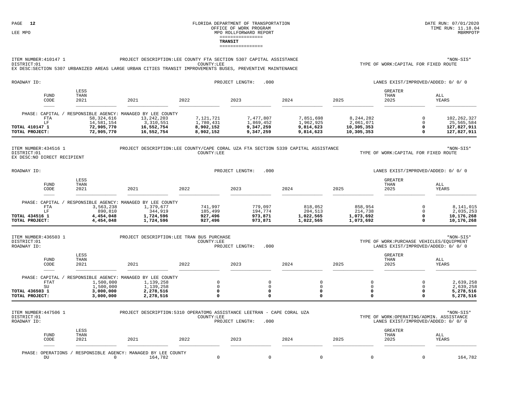#### FLORIDA DEPARTMENT OF TRANSPORTATION **EXECUTE SUBSEX ENCORAGE SERVICE OF TRANSPORTATION** DATE RUN: 07/01/2020 **DATE** RUN: 11.18.04 OFFICE OF WORK PROGRAM LEE MPO  $\blacksquare$ ================**TRANSIT**================

#### ITEM NUMBER:410147 1PROJECT DESCRIPTION:LEE COUNTY FTA SECTION 5307 CAPITAL ASSISTANCE  $*$ NON-SIS\* DISTRICT:01COUNTY:LEE COUNTY:LEE TYPE OF WORK:CAPITAL FOR FIXED ROUTE

EX DESC:SECTION 5307 URBANIZED AREAS LARGE URBAN CITIES TRANSIT IMPROVEMENTS BUSES, PREVENTIVE MAINTENANCE

| ROADWAY ID:                                                             |                                                      |                                                                                                  | .000<br>PROJECT LENGTH:                          |                                                  |                                                  | LANES EXIST/IMPROVED/ADDED: 0/ 0/ 0                |                                |                                                           |
|-------------------------------------------------------------------------|------------------------------------------------------|--------------------------------------------------------------------------------------------------|--------------------------------------------------|--------------------------------------------------|--------------------------------------------------|----------------------------------------------------|--------------------------------|-----------------------------------------------------------|
| <b>FUND</b><br>CODE<br>____                                             | LESS<br>THAN<br>2021                                 | 2021                                                                                             | 2022                                             | 2023                                             | 2024                                             | 2025                                               | <b>GREATER</b><br>THAN<br>2025 | ALL<br>YEARS                                              |
| PHASE: CAPITAL<br>FTA<br>T.F<br><b>TOTAL 410147 1</b><br>TOTAL PROJECT: | 58,324,616<br>14,581,154<br>72,905,770<br>72,905,770 | RESPONSIBLE AGENCY: MANAGED BY LEE COUNTY<br>13,242,203<br>3,310,551<br>16,552,754<br>16,552,754 | 7,121,721<br>1,780,431<br>8,902,152<br>8,902,152 | 7,477,807<br>1,869,452<br>9,347,259<br>9,347,259 | 7,851,698<br>1,962,925<br>9,814,623<br>9,814,623 | 8,244,282<br>2,061,071<br>10,305,353<br>10,305,353 |                                | 102, 262, 327<br>25,565,584<br>127,827,911<br>127,827,911 |

ITEM NUMBER:434516 1 PROJECT DESCRIPTION:LEE COUNTY/CAPE CORAL UZA FTA SECTION 5339 CAPITAL ASSISTANCE \*NON-SIS\* DISTRICT:01EX DESC:NO DIRECT RECIPIENT

TYPE OF WORK: CAPITAL FOR FIXED ROUTE

| ROADWAY ID:           |                     |                      | .000<br>PROJECT LENGTH:                                |                    |                    |                      | LANES EXIST/IMPROVED/ADDED: 0/ 0/ 0 |                                |                         |
|-----------------------|---------------------|----------------------|--------------------------------------------------------|--------------------|--------------------|----------------------|-------------------------------------|--------------------------------|-------------------------|
|                       | <b>FUND</b><br>CODE | LESS<br>THAN<br>2021 | 2021                                                   | 2022               | 2023               | 2024                 | 2025                                | <b>GREATER</b><br>THAN<br>2025 | ALL<br>YEARS            |
| PHASE: CAPITAL        | FTA                 | 3,563,238            | RESPONSIBLE AGENCY: MANAGED BY LEE COUNTY<br>1,379,677 | 741,997            | 779,097            | 818,052              | 858,954                             |                                | 8,141,015               |
| <b>TOTAL 434516 1</b> |                     | 890,810<br>4,454,048 | 344,919<br>1,724,596                                   | 185,499<br>927,496 | 194,774<br>973,871 | 204,513<br>1,022,565 | 214,738<br>1,073,692                |                                | 2,035,253<br>10,176,268 |
| TOTAL PROJECT:        |                     | 4,454,048            | 1,724,596                                              | 927,496            | 973,871            | 1,022,565            | 1,073,692                           |                                | 10,176,268              |

| ITEM NUMBER: 436503 1<br>DISTRICT:01<br>ROADWAY ID: |                        | PROJECT DESCRIPTION: LEE TRAN BUS PURCHASE                          | COUNTY:LEE | .000<br>PROJECT LENGTH: |      |      | TYPE OF WORK: PURCHASE VEHICLES/EQUIPMENT<br>LANES EXIST/IMPROVED/ADDED: 0/ 0/ 0 | *NON-SIS*              |
|-----------------------------------------------------|------------------------|---------------------------------------------------------------------|------------|-------------------------|------|------|----------------------------------------------------------------------------------|------------------------|
| <b>FUND</b><br>CODE                                 | LESS<br>THAN<br>2021   | 2021                                                                | 2022       | 2023                    | 2024 | 2025 | <b>GREATER</b><br>THAN<br>2025                                                   | ALL<br>YEARS           |
| PHASE: CAPITAL<br>FTAT                              | 1,500,000<br>1,500,000 | RESPONSIBLE AGENCY: MANAGED BY LEE COUNTY<br>1,139,258<br>1,139,258 |            |                         |      |      |                                                                                  | 2,639,258<br>2,639,258 |
| <b>TOTAL 436503 1</b><br>TOTAL PROJECT:             | 3,000,000<br>3,000,000 | 2,278,516<br>2,278,516                                              |            |                         |      |      |                                                                                  | 5,278,516<br>5,278,516 |

| ITEM NUMBER: 447506 1<br>DISTRICT:01<br>ROADWAY ID: |                      |                                                               | PROJECT DESCRIPTION: 5310 OPERATOMG ASSISTANCE LEETRAN - CAPE CORAL UZA<br>COUNTY:LEE | *NON-SIS*<br>TYPE OF WORK: OPERATING/ADMIN. ASSISTANCE<br>LANES EXIST/IMPROVED/ADDED: 0/ 0/ 0 |      |      |                                |              |         |
|-----------------------------------------------------|----------------------|---------------------------------------------------------------|---------------------------------------------------------------------------------------|-----------------------------------------------------------------------------------------------|------|------|--------------------------------|--------------|---------|
| <b>FUND</b><br>CODE                                 | LESS<br>THAN<br>2021 | 2021                                                          | 2022                                                                                  | 2023                                                                                          | 2024 | 2025 | <b>GREATER</b><br>THAN<br>2025 | ALL<br>YEARS |         |
| DU                                                  |                      | PHASE: OPERATIONS / RESPONSIBLE AGENCY: MANAGED BY LEE COUNTY | 164,782                                                                               |                                                                                               |      |      |                                |              | 164,782 |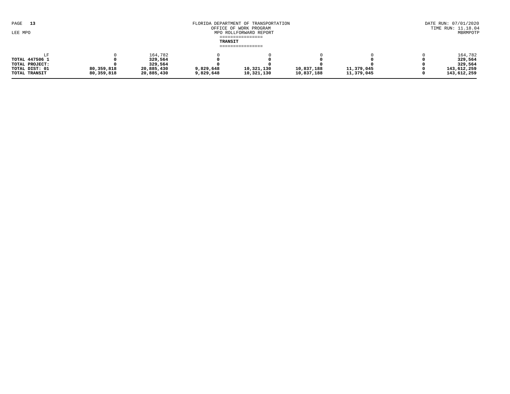| 13<br>PAGE<br>LEE MPO           | FLORIDA DEPARTMENT OF TRANSPORTATION<br>OFFICE OF WORK PROGRAM<br>MPO ROLLFORWARD REPORT<br>================<br>TRANSIT |                          |                        |                          |                          |                          |  |                            |  |  |
|---------------------------------|-------------------------------------------------------------------------------------------------------------------------|--------------------------|------------------------|--------------------------|--------------------------|--------------------------|--|----------------------------|--|--|
| ================                |                                                                                                                         |                          |                        |                          |                          |                          |  |                            |  |  |
| <b>TOTAL 447506 1</b>           |                                                                                                                         | 164,782<br>329,564       |                        |                          |                          |                          |  | 164,782<br>329,564         |  |  |
| TOTAL PROJECT:                  |                                                                                                                         | 329,564                  |                        |                          |                          |                          |  | 329,564                    |  |  |
| TOTAL DIST: 01<br>TOTAL TRANSIT | 80,359,818<br>80,359,818                                                                                                | 20,885,430<br>20,885,430 | 9,829,648<br>9,829,648 | 10,321,130<br>10,321,130 | 10,837,188<br>10,837,188 | 11,379,045<br>11,379,045 |  | 143,612,259<br>143,612,259 |  |  |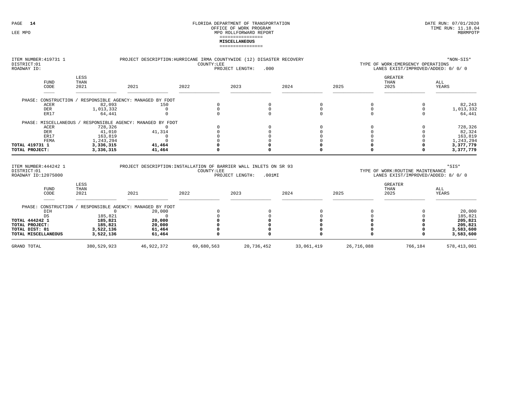#### FLORIDA DEPARTMENT OF TRANSPORTATION OFFICE OF WORK PROGRAM LEE MPO  $\,$  MPO ROLLFORWARD REPORT  $\,$ ================**MISCELLANEOUS**================

| ITEM NUMBER: 419731 1<br>DISTRICT:01<br>ROADWAY ID:         |                      | *NON-SIS*<br>PROJECT DESCRIPTION: HURRICANE IRMA COUNTYWIDE (12) DISASTER RECOVERY<br>COUNTY:LEE<br>TYPE OF WORK: EMERGENCY OPERATIONS<br>PROJECT LENGTH:<br>.000<br>LANES EXIST/IMPROVED/ADDED: 0/ 0/ 0 |            |                              |          |      |                                                                          |                     |
|-------------------------------------------------------------|----------------------|----------------------------------------------------------------------------------------------------------------------------------------------------------------------------------------------------------|------------|------------------------------|----------|------|--------------------------------------------------------------------------|---------------------|
| <b>FUND</b><br>CODE                                         | LESS<br>THAN<br>2021 | 2021                                                                                                                                                                                                     | 2022       | 2023                         | 2024     | 2025 | <b>GREATER</b><br>THAN<br>2025                                           | ALL<br>YEARS        |
| PHASE: CONSTRUCTION                                         |                      | RESPONSIBLE AGENCY: MANAGED BY FDOT                                                                                                                                                                      |            |                              |          |      |                                                                          |                     |
| <b>ACER</b>                                                 | 82,093               | 150                                                                                                                                                                                                      |            | $\Omega$                     |          |      |                                                                          | 82,243              |
| <b>DER</b>                                                  | 1,013,332            | $\Omega$                                                                                                                                                                                                 |            |                              | $\Omega$ |      | $\Omega$                                                                 | 1,013,332           |
| ER17                                                        | 64,441               | $\Omega$                                                                                                                                                                                                 |            |                              |          |      | $\Omega$                                                                 | 64,441              |
| PHASE: MISCELLANEOUS                                        |                      | RESPONSIBLE AGENCY: MANAGED BY FDOT                                                                                                                                                                      |            |                              |          |      |                                                                          |                     |
| ACER                                                        | 728,326              | $\Omega$                                                                                                                                                                                                 |            |                              |          |      |                                                                          | 728,326             |
| <b>DER</b>                                                  | 41,010               | 41,314                                                                                                                                                                                                   |            |                              |          |      |                                                                          | 82,324              |
| ER17                                                        | 163,819              | $\Omega$                                                                                                                                                                                                 |            |                              |          |      |                                                                          | 163,819             |
| FEMA                                                        | 1,243,294            | $\Omega$                                                                                                                                                                                                 |            |                              |          |      |                                                                          | 1,243,294           |
| TOTAL 419731 1                                              | 3,336,315            | 41,464                                                                                                                                                                                                   |            |                              |          |      |                                                                          | 3,377,779           |
| TOTAL PROJECT:                                              | 3,336,315            | 41,464                                                                                                                                                                                                   |            |                              |          |      |                                                                          | 3,377,779           |
| ITEM NUMBER: 444242 1<br>DISTRICT:01<br>ROADWAY ID:12075000 |                      | PROJECT DESCRIPTION: INSTALLATION OF BARRIER WALL INLETS ON SR 93                                                                                                                                        | COUNTY:LEE | PROJECT LENGTH:<br>$.001$ MI |          |      | TYPE OF WORK: ROUTINE MAINTENANCE<br>LANES EXIST/IMPROVED/ADDED: 8/ 0/ 0 | $*$ SIS $*$         |
| <b>FUND</b><br>CODE                                         | LESS<br>THAN<br>2021 | 2021                                                                                                                                                                                                     | 2022       | 2023                         | 2024     | 2025 | <b>GREATER</b><br>THAN<br>2025                                           | ALL<br><b>YEARS</b> |
| PHASE: CONSTRUCTION /<br>DIH<br>DS                          | $\Omega$<br>185,821  | RESPONSIBLE AGENCY: MANAGED BY FDOT<br>20,000<br>$\Omega$                                                                                                                                                |            |                              |          |      |                                                                          | 20,000<br>185,821   |
| TOTAL 444242 1                                              | 185,821              | 20,000                                                                                                                                                                                                   |            |                              |          |      |                                                                          | 205,821             |
| TOTAL PROJECT:                                              | 185,821              | 20,000                                                                                                                                                                                                   |            |                              |          |      |                                                                          | 205,821             |
| TOTAL DIST: 01                                              | 3,522,136            | 61,464                                                                                                                                                                                                   |            |                              |          |      |                                                                          | 3,583,600           |
| TOTAL MISCELLANEOUS                                         | 3,522,136            | 61,464                                                                                                                                                                                                   |            |                              |          |      |                                                                          | 3,583,600           |

GRAND TOTAL 380,529,923 46,922,372 69,680,563 20,736,452 33,061,419 26,716,088 766,184 578,413,001